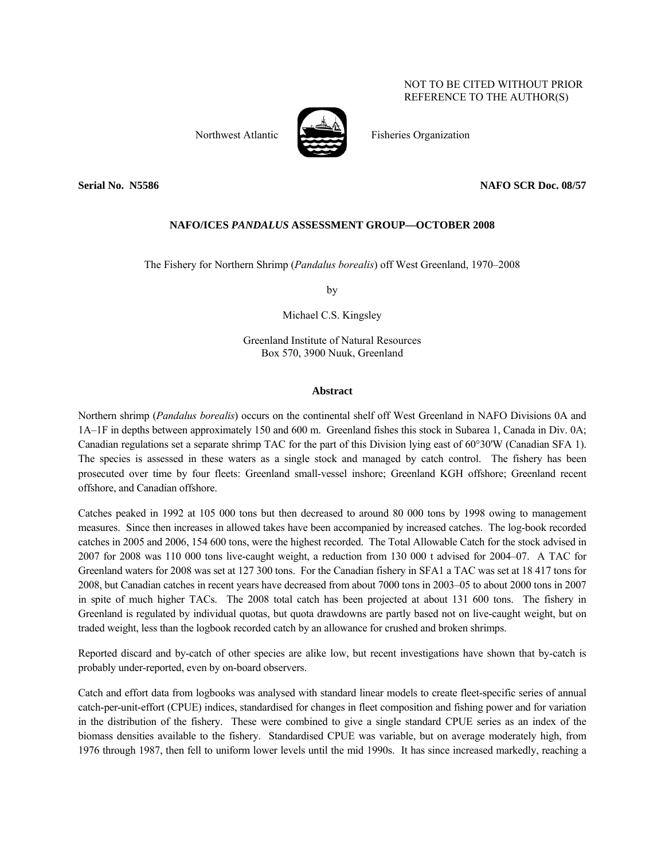### NOT TO BE CITED WITHOUT PRIOR REFERENCE TO THE AUTHOR(S)



Northwest Atlantic Fisheries Organization

### **Serial No. 35586** NAFO SCR Doc. 08/57

### **NAFO/ICES** *PANDALUS* **ASSESSMENT GROUP—OCTOBER 2008**

The Fishery for Northern Shrimp (*Pandalus borealis*) off West Greenland, 1970–2008

by

Michael C.S. Kingsley

Greenland Institute of Natural Resources Box 570, 3900 Nuuk, Greenland

### **Abstract**

Northern shrimp (*Pandalus borealis*) occurs on the continental shelf off West Greenland in NAFO Divisions 0A and 1A–1F in depths between approximately 150 and 600 m. Greenland fishes this stock in Subarea 1, Canada in Div. 0A; Canadian regulations set a separate shrimp TAC for the part of this Division lying east of 60°30'W (Canadian SFA 1). The species is assessed in these waters as a single stock and managed by catch control. The fishery has been prosecuted over time by four fleets: Greenland small-vessel inshore; Greenland KGH offshore; Greenland recent offshore, and Canadian offshore.

Catches peaked in 1992 at 105 000 tons but then decreased to around 80 000 tons by 1998 owing to management measures. Since then increases in allowed takes have been accompanied by increased catches. The log-book recorded catches in 2005 and 2006, 154 600 tons, were the highest recorded. The Total Allowable Catch for the stock advised in 2007 for 2008 was 110 000 tons live-caught weight, a reduction from 130 000 t advised for 2004–07. A TAC for Greenland waters for 2008 was set at 127 300 tons. For the Canadian fishery in SFA1 a TAC was set at 18 417 tons for 2008, but Canadian catches in recent years have decreased from about 7000 tons in 2003–05 to about 2000 tons in 2007 in spite of much higher TACs. The 2008 total catch has been projected at about 131 600 tons. The fishery in Greenland is regulated by individual quotas, but quota drawdowns are partly based not on live-caught weight, but on traded weight, less than the logbook recorded catch by an allowance for crushed and broken shrimps.

Reported discard and by-catch of other species are alike low, but recent investigations have shown that by-catch is probably under-reported, even by on-board observers.

Catch and effort data from logbooks was analysed with standard linear models to create fleet-specific series of annual catch-per-unit-effort (CPUE) indices, standardised for changes in fleet composition and fishing power and for variation in the distribution of the fishery. These were combined to give a single standard CPUE series as an index of the biomass densities available to the fishery. Standardised CPUE was variable, but on average moderately high, from 1976 through 1987, then fell to uniform lower levels until the mid 1990s. It has since increased markedly, reaching a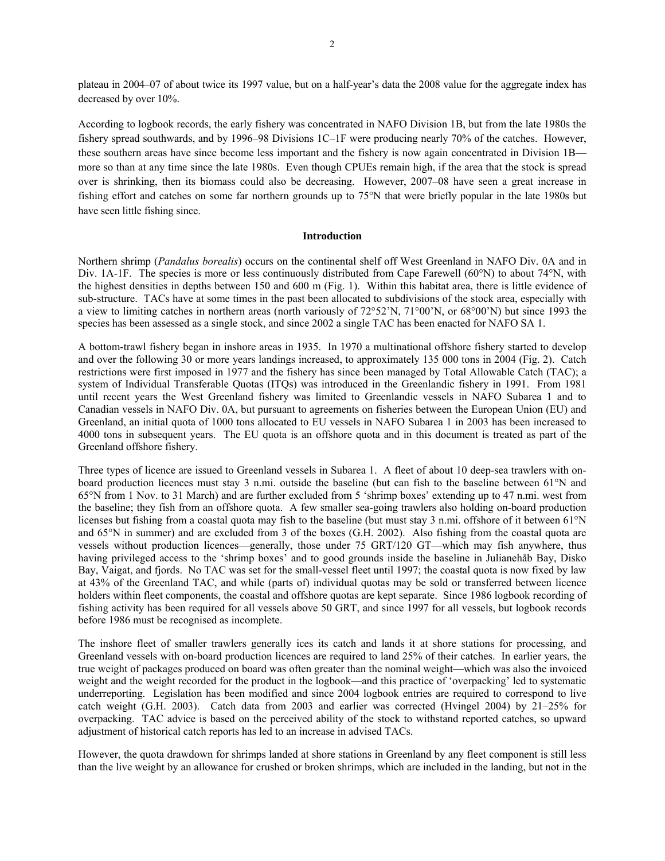plateau in 2004–07 of about twice its 1997 value, but on a half-year's data the 2008 value for the aggregate index has decreased by over 10%.

According to logbook records, the early fishery was concentrated in NAFO Division 1B, but from the late 1980s the fishery spread southwards, and by 1996–98 Divisions 1C–1F were producing nearly 70% of the catches. However, these southern areas have since become less important and the fishery is now again concentrated in Division 1B more so than at any time since the late 1980s. Even though CPUEs remain high, if the area that the stock is spread over is shrinking, then its biomass could also be decreasing. However, 2007–08 have seen a great increase in fishing effort and catches on some far northern grounds up to 75°N that were briefly popular in the late 1980s but have seen little fishing since.

#### **Introduction**

Northern shrimp (*Pandalus borealis*) occurs on the continental shelf off West Greenland in NAFO Div. 0A and in Div. 1A-1F. The species is more or less continuously distributed from Cape Farewell (60°N) to about 74°N, with the highest densities in depths between 150 and 600 m (Fig. 1). Within this habitat area, there is little evidence of sub-structure. TACs have at some times in the past been allocated to subdivisions of the stock area, especially with a view to limiting catches in northern areas (north variously of 72°52'N, 71°00'N, or 68°00'N) but since 1993 the species has been assessed as a single stock, and since 2002 a single TAC has been enacted for NAFO SA 1.

A bottom-trawl fishery began in inshore areas in 1935. In 1970 a multinational offshore fishery started to develop and over the following 30 or more years landings increased, to approximately 135 000 tons in 2004 (Fig. 2). Catch restrictions were first imposed in 1977 and the fishery has since been managed by Total Allowable Catch (TAC); a system of Individual Transferable Quotas (ITQs) was introduced in the Greenlandic fishery in 1991. From 1981 until recent years the West Greenland fishery was limited to Greenlandic vessels in NAFO Subarea 1 and to Canadian vessels in NAFO Div. 0A, but pursuant to agreements on fisheries between the European Union (EU) and Greenland, an initial quota of 1000 tons allocated to EU vessels in NAFO Subarea 1 in 2003 has been increased to 4000 tons in subsequent years. The EU quota is an offshore quota and in this document is treated as part of the Greenland offshore fishery.

Three types of licence are issued to Greenland vessels in Subarea 1. A fleet of about 10 deep-sea trawlers with onboard production licences must stay 3 n.mi. outside the baseline (but can fish to the baseline between 61°N and 65°N from 1 Nov. to 31 March) and are further excluded from 5 'shrimp boxes' extending up to 47 n.mi. west from the baseline; they fish from an offshore quota. A few smaller sea-going trawlers also holding on-board production licenses but fishing from a coastal quota may fish to the baseline (but must stay 3 n.mi. offshore of it between 61°N and 65°N in summer) and are excluded from 3 of the boxes (G.H. 2002). Also fishing from the coastal quota are vessels without production licences—generally, those under 75 GRT/120 GT—which may fish anywhere, thus having privileged access to the 'shrimp boxes' and to good grounds inside the baseline in Julianehåb Bay, Disko Bay, Vaigat, and fjords. No TAC was set for the small-vessel fleet until 1997; the coastal quota is now fixed by law at 43% of the Greenland TAC, and while (parts of) individual quotas may be sold or transferred between licence holders within fleet components, the coastal and offshore quotas are kept separate. Since 1986 logbook recording of fishing activity has been required for all vessels above 50 GRT, and since 1997 for all vessels, but logbook records before 1986 must be recognised as incomplete.

The inshore fleet of smaller trawlers generally ices its catch and lands it at shore stations for processing, and Greenland vessels with on-board production licences are required to land 25% of their catches. In earlier years, the true weight of packages produced on board was often greater than the nominal weight—which was also the invoiced weight and the weight recorded for the product in the logbook—and this practice of 'overpacking' led to systematic underreporting. Legislation has been modified and since 2004 logbook entries are required to correspond to live catch weight (G.H. 2003). Catch data from 2003 and earlier was corrected (Hvingel 2004) by 21–25% for overpacking. TAC advice is based on the perceived ability of the stock to withstand reported catches, so upward adjustment of historical catch reports has led to an increase in advised TACs.

However, the quota drawdown for shrimps landed at shore stations in Greenland by any fleet component is still less than the live weight by an allowance for crushed or broken shrimps, which are included in the landing, but not in the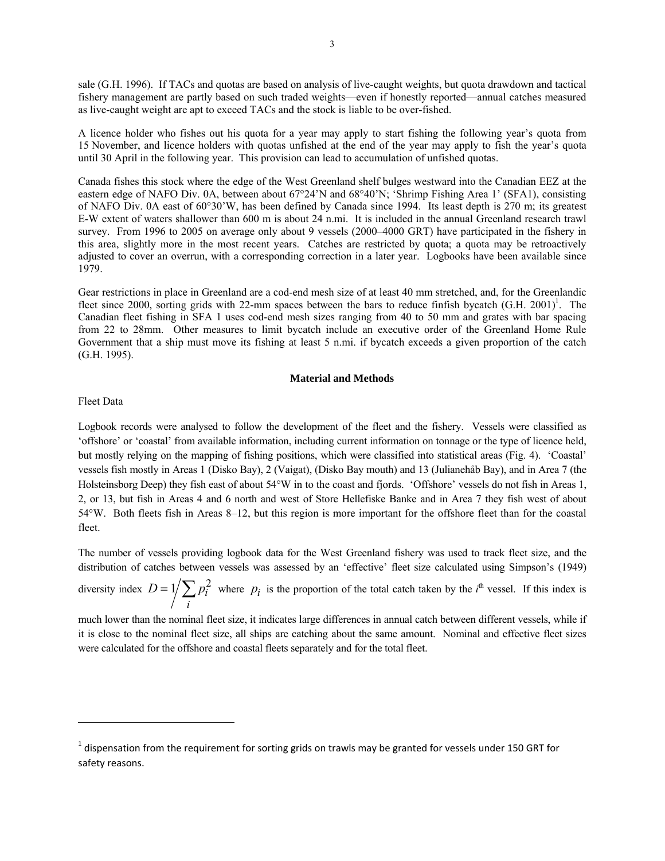sale (G.H. 1996). If TACs and quotas are based on analysis of live-caught weights, but quota drawdown and tactical fishery management are partly based on such traded weights—even if honestly reported—annual catches measured as live-caught weight are apt to exceed TACs and the stock is liable to be over-fished.

A licence holder who fishes out his quota for a year may apply to start fishing the following year's quota from 15 November, and licence holders with quotas unfished at the end of the year may apply to fish the year's quota until 30 April in the following year. This provision can lead to accumulation of unfished quotas.

Canada fishes this stock where the edge of the West Greenland shelf bulges westward into the Canadian EEZ at the eastern edge of NAFO Div. 0A, between about 67°24'N and 68°40'N; 'Shrimp Fishing Area 1' (SFA1), consisting of NAFO Div. 0A east of 60°30'W, has been defined by Canada since 1994. Its least depth is 270 m; its greatest E-W extent of waters shallower than 600 m is about 24 n.mi. It is included in the annual Greenland research trawl survey. From 1996 to 2005 on average only about 9 vessels (2000–4000 GRT) have participated in the fishery in this area, slightly more in the most recent years. Catches are restricted by quota; a quota may be retroactively adjusted to cover an overrun, with a corresponding correction in a later year. Logbooks have been available since 1979.

Gear restrictions in place in Greenland are a cod-end mesh size of at least 40 mm stretched, and, for the Greenlandic fleet since 2000, sorting grids with 22-mm spaces between the bars to reduce finfish bycatch  $(G.H. 2001)^1$ . The Canadian fleet fishing in SFA 1 uses cod-end mesh sizes ranging from 40 to 50 mm and grates with bar spacing from 22 to 28mm. Other measures to limit bycatch include an executive order of the Greenland Home Rule Government that a ship must move its fishing at least 5 n.mi. if bycatch exceeds a given proportion of the catch (G.H. 1995).

### **Material and Methods**

### Fleet Data

Logbook records were analysed to follow the development of the fleet and the fishery. Vessels were classified as 'offshore' or 'coastal' from available information, including current information on tonnage or the type of licence held, but mostly relying on the mapping of fishing positions, which were classified into statistical areas (Fig. 4). 'Coastal' vessels fish mostly in Areas 1 (Disko Bay), 2 (Vaigat), (Disko Bay mouth) and 13 (Julianehåb Bay), and in Area 7 (the Holsteinsborg Deep) they fish east of about 54°W in to the coast and fjords. 'Offshore' vessels do not fish in Areas 1, 2, or 13, but fish in Areas 4 and 6 north and west of Store Hellefiske Banke and in Area 7 they fish west of about 54°W. Both fleets fish in Areas 8–12, but this region is more important for the offshore fleet than for the coastal fleet.

The number of vessels providing logbook data for the West Greenland fishery was used to track fleet size, and the distribution of catches between vessels was assessed by an 'effective' fleet size calculated using Simpson's (1949)

diversity index  $D = 1 / \sum p_i^2$ *i*  $D = 1/\sum p_i^2$  where  $p_i$  is the proportion of the total catch taken by the *i*<sup>th</sup> vessel. If this index is

much lower than the nominal fleet size, it indicates large differences in annual catch between different vessels, while if it is close to the nominal fleet size, all ships are catching about the same amount. Nominal and effective fleet sizes were calculated for the offshore and coastal fleets separately and for the total fleet.

 $1$  dispensation from the requirement for sorting grids on trawls may be granted for vessels under 150 GRT for safety reasons.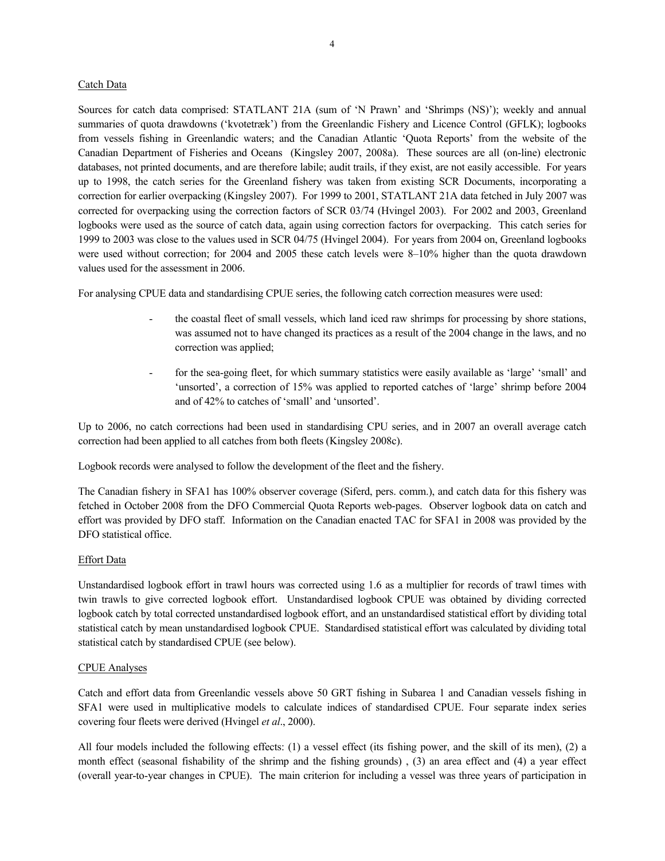### Catch Data

Sources for catch data comprised: STATLANT 21A (sum of 'N Prawn' and 'Shrimps (NS)'); weekly and annual summaries of quota drawdowns ('kvotetræk') from the Greenlandic Fishery and Licence Control (GFLK); logbooks from vessels fishing in Greenlandic waters; and the Canadian Atlantic 'Quota Reports' from the website of the Canadian Department of Fisheries and Oceans (Kingsley 2007, 2008a). These sources are all (on-line) electronic databases, not printed documents, and are therefore labile; audit trails, if they exist, are not easily accessible. For years up to 1998, the catch series for the Greenland fishery was taken from existing SCR Documents, incorporating a correction for earlier overpacking (Kingsley 2007). For 1999 to 2001, STATLANT 21A data fetched in July 2007 was corrected for overpacking using the correction factors of SCR 03/74 (Hvingel 2003). For 2002 and 2003, Greenland logbooks were used as the source of catch data, again using correction factors for overpacking. This catch series for 1999 to 2003 was close to the values used in SCR 04/75 (Hvingel 2004). For years from 2004 on, Greenland logbooks were used without correction; for 2004 and 2005 these catch levels were 8–10% higher than the quota drawdown values used for the assessment in 2006.

For analysing CPUE data and standardising CPUE series, the following catch correction measures were used:

- the coastal fleet of small vessels, which land iced raw shrimps for processing by shore stations, was assumed not to have changed its practices as a result of the 2004 change in the laws, and no correction was applied;
- for the sea-going fleet, for which summary statistics were easily available as 'large' 'small' and 'unsorted', a correction of 15% was applied to reported catches of 'large' shrimp before 2004 and of 42% to catches of 'small' and 'unsorted'.

Up to 2006, no catch corrections had been used in standardising CPU series, and in 2007 an overall average catch correction had been applied to all catches from both fleets (Kingsley 2008c).

Logbook records were analysed to follow the development of the fleet and the fishery.

The Canadian fishery in SFA1 has 100% observer coverage (Siferd, pers. comm.), and catch data for this fishery was fetched in October 2008 from the DFO Commercial Quota Reports web-pages. Observer logbook data on catch and effort was provided by DFO staff. Information on the Canadian enacted TAC for SFA1 in 2008 was provided by the DFO statistical office.

### Effort Data

Unstandardised logbook effort in trawl hours was corrected using 1.6 as a multiplier for records of trawl times with twin trawls to give corrected logbook effort. Unstandardised logbook CPUE was obtained by dividing corrected logbook catch by total corrected unstandardised logbook effort, and an unstandardised statistical effort by dividing total statistical catch by mean unstandardised logbook CPUE. Standardised statistical effort was calculated by dividing total statistical catch by standardised CPUE (see below).

### CPUE Analyses

Catch and effort data from Greenlandic vessels above 50 GRT fishing in Subarea 1 and Canadian vessels fishing in SFA1 were used in multiplicative models to calculate indices of standardised CPUE. Four separate index series covering four fleets were derived (Hvingel *et al*., 2000).

All four models included the following effects: (1) a vessel effect (its fishing power, and the skill of its men), (2) a month effect (seasonal fishability of the shrimp and the fishing grounds) , (3) an area effect and (4) a year effect (overall year-to-year changes in CPUE). The main criterion for including a vessel was three years of participation in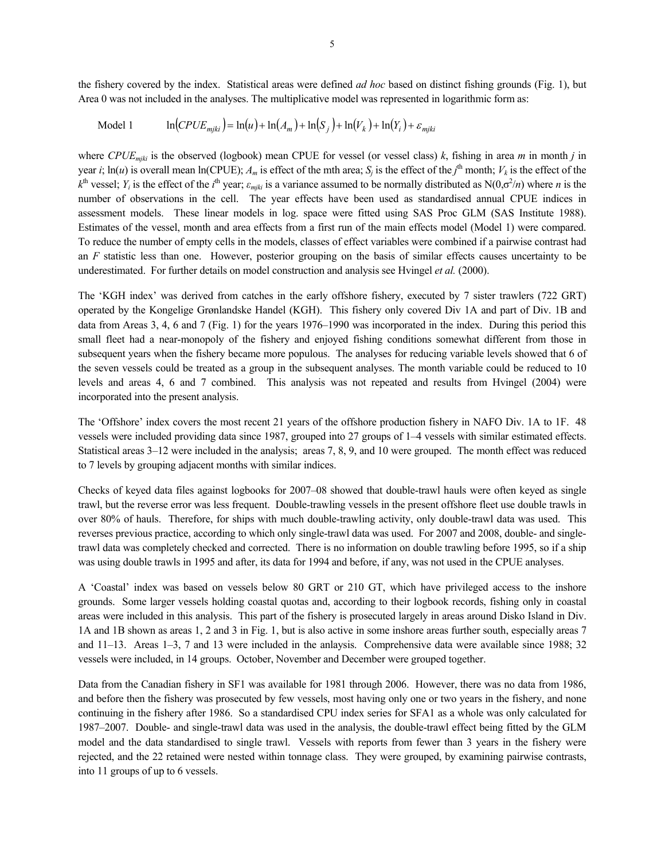the fishery covered by the index. Statistical areas were defined *ad hoc* based on distinct fishing grounds (Fig. 1), but Area 0 was not included in the analyses. The multiplicative model was represented in logarithmic form as:

$$
\text{Model 1} \qquad \ln(CPUE_{mjki}) = \ln(u) + \ln(A_m) + \ln(S_j) + \ln(V_k) + \ln(Y_i) + \varepsilon_{mjki}
$$

where *CPUEmjki* is the observed (logbook) mean CPUE for vessel (or vessel class) *k*, fishing in area *m* in month *j* in year *i*;  $\ln(u)$  is overall mean  $\ln(\text{CPUE})$ ;  $A_m$  is effect of the mth area;  $S_j$  is the effect of the *j*<sup>th</sup> month;  $V_k$  is the effect of the  $k^{\text{th}}$  vessel; *Y<sub>i</sub>* is the effect of the *i*<sup>th</sup> year;  $\varepsilon_{mjki}$  is a variance assumed to be normally distributed as N(0, $\sigma^2/n$ ) where *n* is the number of observations in the cell. The year effects have been used as standardised annual CPUE indices in assessment models. These linear models in log. space were fitted using SAS Proc GLM (SAS Institute 1988). Estimates of the vessel, month and area effects from a first run of the main effects model (Model 1) were compared. To reduce the number of empty cells in the models, classes of effect variables were combined if a pairwise contrast had an *F* statistic less than one. However, posterior grouping on the basis of similar effects causes uncertainty to be underestimated. For further details on model construction and analysis see Hvingel *et al.* (2000).

The 'KGH index' was derived from catches in the early offshore fishery, executed by 7 sister trawlers (722 GRT) operated by the Kongelige Grønlandske Handel (KGH). This fishery only covered Div 1A and part of Div. 1B and data from Areas 3, 4, 6 and 7 (Fig. 1) for the years 1976–1990 was incorporated in the index. During this period this small fleet had a near-monopoly of the fishery and enjoyed fishing conditions somewhat different from those in subsequent years when the fishery became more populous. The analyses for reducing variable levels showed that 6 of the seven vessels could be treated as a group in the subsequent analyses. The month variable could be reduced to 10 levels and areas 4, 6 and 7 combined. This analysis was not repeated and results from Hvingel (2004) were incorporated into the present analysis.

The 'Offshore' index covers the most recent 21 years of the offshore production fishery in NAFO Div. 1A to 1F. 48 vessels were included providing data since 1987, grouped into 27 groups of 1–4 vessels with similar estimated effects. Statistical areas 3–12 were included in the analysis; areas 7, 8, 9, and 10 were grouped. The month effect was reduced to 7 levels by grouping adjacent months with similar indices.

Checks of keyed data files against logbooks for 2007–08 showed that double-trawl hauls were often keyed as single trawl, but the reverse error was less frequent. Double-trawling vessels in the present offshore fleet use double trawls in over 80% of hauls. Therefore, for ships with much double-trawling activity, only double-trawl data was used. This reverses previous practice, according to which only single-trawl data was used. For 2007 and 2008, double- and singletrawl data was completely checked and corrected. There is no information on double trawling before 1995, so if a ship was using double trawls in 1995 and after, its data for 1994 and before, if any, was not used in the CPUE analyses.

A 'Coastal' index was based on vessels below 80 GRT or 210 GT, which have privileged access to the inshore grounds. Some larger vessels holding coastal quotas and, according to their logbook records, fishing only in coastal areas were included in this analysis. This part of the fishery is prosecuted largely in areas around Disko Island in Div. 1A and 1B shown as areas 1, 2 and 3 in Fig. 1, but is also active in some inshore areas further south, especially areas 7 and 11–13. Areas 1–3, 7 and 13 were included in the anlaysis. Comprehensive data were available since 1988; 32 vessels were included, in 14 groups. October, November and December were grouped together.

Data from the Canadian fishery in SF1 was available for 1981 through 2006. However, there was no data from 1986, and before then the fishery was prosecuted by few vessels, most having only one or two years in the fishery, and none continuing in the fishery after 1986. So a standardised CPU index series for SFA1 as a whole was only calculated for 1987–2007. Double- and single-trawl data was used in the analysis, the double-trawl effect being fitted by the GLM model and the data standardised to single trawl. Vessels with reports from fewer than 3 years in the fishery were rejected, and the 22 retained were nested within tonnage class. They were grouped, by examining pairwise contrasts, into 11 groups of up to 6 vessels.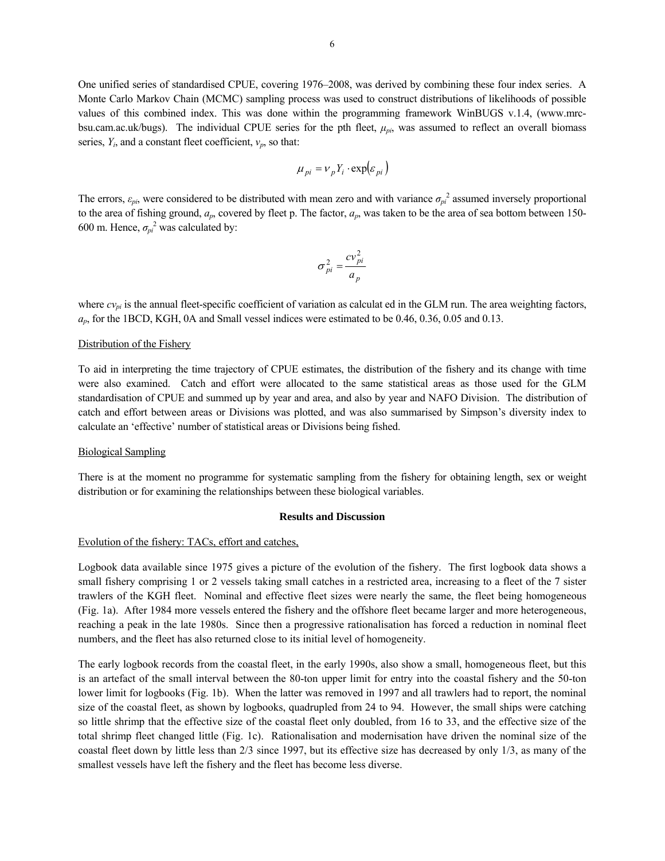One unified series of standardised CPUE, covering 1976–2008, was derived by combining these four index series. A Monte Carlo Markov Chain (MCMC) sampling process was used to construct distributions of likelihoods of possible values of this combined index. This was done within the programming framework WinBUGS v.1.4, (www.mrcbsu.cam.ac.uk/bugs). The individual CPUE series for the pth fleet, *μpi*, was assumed to reflect an overall biomass series, *Yi*, and a constant fleet coefficient, *νp*, so that:

$$
\mu_{pi} = v_p Y_i \cdot \exp(\varepsilon_{pi})
$$

The errors,  $\varepsilon_{pi}$ , were considered to be distributed with mean zero and with variance  $\sigma_{pi}^2$  assumed inversely proportional to the area of fishing ground, *ap*, covered by fleet p. The factor, *ap*, was taken to be the area of sea bottom between 150- 600 m. Hence,  $\sigma_{pi}^2$  was calculated by:

$$
\sigma_{pi}^2 = \frac{cv_{pi}^2}{a_p}
$$

where  $cv_{pi}$  is the annual fleet-specific coefficient of variation as calculat ed in the GLM run. The area weighting factors, *ap*, for the 1BCD, KGH, 0A and Small vessel indices were estimated to be 0.46, 0.36, 0.05 and 0.13.

#### Distribution of the Fishery

To aid in interpreting the time trajectory of CPUE estimates, the distribution of the fishery and its change with time were also examined. Catch and effort were allocated to the same statistical areas as those used for the GLM standardisation of CPUE and summed up by year and area, and also by year and NAFO Division. The distribution of catch and effort between areas or Divisions was plotted, and was also summarised by Simpson's diversity index to calculate an 'effective' number of statistical areas or Divisions being fished.

#### Biological Sampling

There is at the moment no programme for systematic sampling from the fishery for obtaining length, sex or weight distribution or for examining the relationships between these biological variables.

#### **Results and Discussion**

#### Evolution of the fishery: TACs, effort and catches,

Logbook data available since 1975 gives a picture of the evolution of the fishery. The first logbook data shows a small fishery comprising 1 or 2 vessels taking small catches in a restricted area, increasing to a fleet of the 7 sister trawlers of the KGH fleet. Nominal and effective fleet sizes were nearly the same, the fleet being homogeneous (Fig. 1a). After 1984 more vessels entered the fishery and the offshore fleet became larger and more heterogeneous, reaching a peak in the late 1980s. Since then a progressive rationalisation has forced a reduction in nominal fleet numbers, and the fleet has also returned close to its initial level of homogeneity.

The early logbook records from the coastal fleet, in the early 1990s, also show a small, homogeneous fleet, but this is an artefact of the small interval between the 80-ton upper limit for entry into the coastal fishery and the 50-ton lower limit for logbooks (Fig. 1b). When the latter was removed in 1997 and all trawlers had to report, the nominal size of the coastal fleet, as shown by logbooks, quadrupled from 24 to 94. However, the small ships were catching so little shrimp that the effective size of the coastal fleet only doubled, from 16 to 33, and the effective size of the total shrimp fleet changed little (Fig. 1c). Rationalisation and modernisation have driven the nominal size of the coastal fleet down by little less than 2/3 since 1997, but its effective size has decreased by only 1/3, as many of the smallest vessels have left the fishery and the fleet has become less diverse.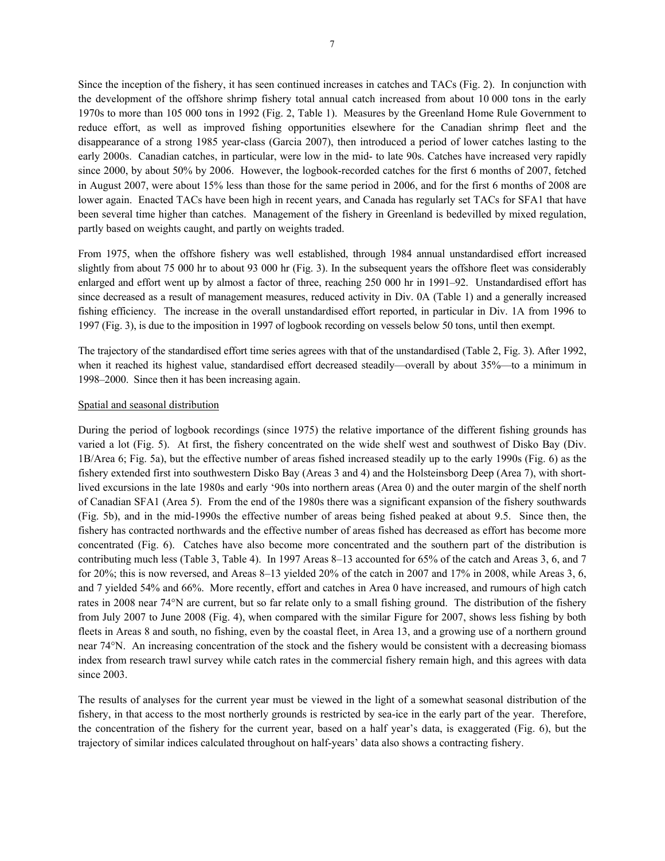Since the inception of the fishery, it has seen continued increases in catches and TACs (Fig. 2). In conjunction with the development of the offshore shrimp fishery total annual catch increased from about 10 000 tons in the early 1970s to more than 105 000 tons in 1992 (Fig. 2, Table 1). Measures by the Greenland Home Rule Government to reduce effort, as well as improved fishing opportunities elsewhere for the Canadian shrimp fleet and the disappearance of a strong 1985 year-class (Garcia 2007), then introduced a period of lower catches lasting to the early 2000s. Canadian catches, in particular, were low in the mid- to late 90s. Catches have increased very rapidly since 2000, by about 50% by 2006. However, the logbook-recorded catches for the first 6 months of 2007, fetched in August 2007, were about 15% less than those for the same period in 2006, and for the first 6 months of 2008 are lower again. Enacted TACs have been high in recent years, and Canada has regularly set TACs for SFA1 that have been several time higher than catches. Management of the fishery in Greenland is bedevilled by mixed regulation, partly based on weights caught, and partly on weights traded.

From 1975, when the offshore fishery was well established, through 1984 annual unstandardised effort increased slightly from about 75 000 hr to about 93 000 hr (Fig. 3). In the subsequent years the offshore fleet was considerably enlarged and effort went up by almost a factor of three, reaching 250 000 hr in 1991–92. Unstandardised effort has since decreased as a result of management measures, reduced activity in Div. 0A (Table 1) and a generally increased fishing efficiency. The increase in the overall unstandardised effort reported, in particular in Div. 1A from 1996 to 1997 (Fig. 3), is due to the imposition in 1997 of logbook recording on vessels below 50 tons, until then exempt.

The trajectory of the standardised effort time series agrees with that of the unstandardised (Table 2, Fig. 3). After 1992, when it reached its highest value, standardised effort decreased steadily—overall by about 35%—to a minimum in 1998–2000. Since then it has been increasing again.

#### Spatial and seasonal distribution

During the period of logbook recordings (since 1975) the relative importance of the different fishing grounds has varied a lot (Fig. 5). At first, the fishery concentrated on the wide shelf west and southwest of Disko Bay (Div. 1B/Area 6; Fig. 5a), but the effective number of areas fished increased steadily up to the early 1990s (Fig. 6) as the fishery extended first into southwestern Disko Bay (Areas 3 and 4) and the Holsteinsborg Deep (Area 7), with shortlived excursions in the late 1980s and early '90s into northern areas (Area 0) and the outer margin of the shelf north of Canadian SFA1 (Area 5). From the end of the 1980s there was a significant expansion of the fishery southwards (Fig. 5b), and in the mid-1990s the effective number of areas being fished peaked at about 9.5. Since then, the fishery has contracted northwards and the effective number of areas fished has decreased as effort has become more concentrated (Fig. 6). Catches have also become more concentrated and the southern part of the distribution is contributing much less (Table 3, Table 4). In 1997 Areas 8–13 accounted for 65% of the catch and Areas 3, 6, and 7 for 20%; this is now reversed, and Areas 8–13 yielded 20% of the catch in 2007 and 17% in 2008, while Areas 3, 6, and 7 yielded 54% and 66%. More recently, effort and catches in Area 0 have increased, and rumours of high catch rates in 2008 near 74°N are current, but so far relate only to a small fishing ground. The distribution of the fishery from July 2007 to June 2008 (Fig. 4), when compared with the similar Figure for 2007, shows less fishing by both fleets in Areas 8 and south, no fishing, even by the coastal fleet, in Area 13, and a growing use of a northern ground near 74°N. An increasing concentration of the stock and the fishery would be consistent with a decreasing biomass index from research trawl survey while catch rates in the commercial fishery remain high, and this agrees with data since 2003.

The results of analyses for the current year must be viewed in the light of a somewhat seasonal distribution of the fishery, in that access to the most northerly grounds is restricted by sea-ice in the early part of the year. Therefore, the concentration of the fishery for the current year, based on a half year's data, is exaggerated (Fig. 6), but the trajectory of similar indices calculated throughout on half-years' data also shows a contracting fishery.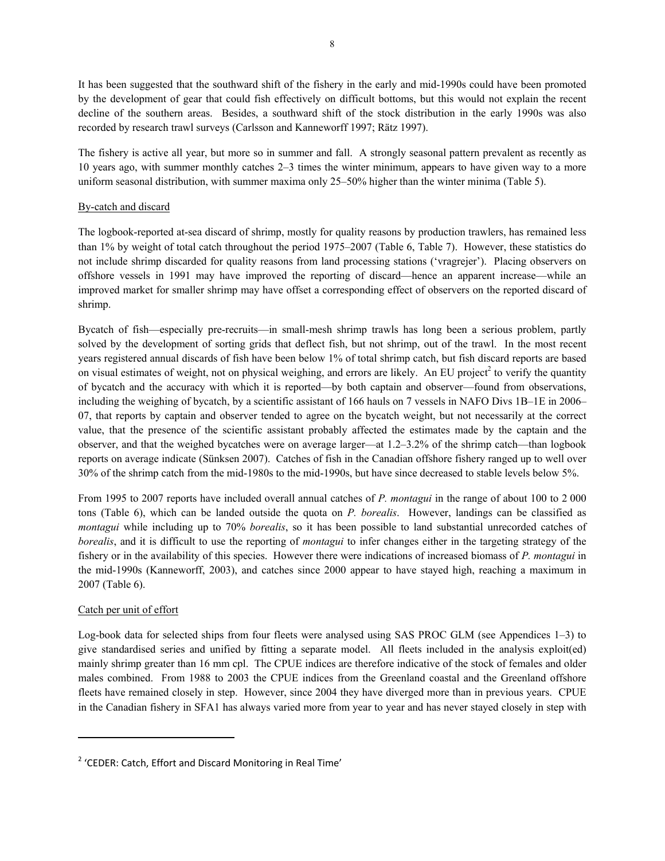It has been suggested that the southward shift of the fishery in the early and mid-1990s could have been promoted by the development of gear that could fish effectively on difficult bottoms, but this would not explain the recent decline of the southern areas. Besides, a southward shift of the stock distribution in the early 1990s was also recorded by research trawl surveys (Carlsson and Kanneworff 1997; Rätz 1997).

The fishery is active all year, but more so in summer and fall. A strongly seasonal pattern prevalent as recently as 10 years ago, with summer monthly catches 2–3 times the winter minimum, appears to have given way to a more uniform seasonal distribution, with summer maxima only 25–50% higher than the winter minima (Table 5).

## By-catch and discard

The logbook-reported at-sea discard of shrimp, mostly for quality reasons by production trawlers, has remained less than 1% by weight of total catch throughout the period 1975–2007 (Table 6, Table 7). However, these statistics do not include shrimp discarded for quality reasons from land processing stations ('vragrejer'). Placing observers on offshore vessels in 1991 may have improved the reporting of discard—hence an apparent increase—while an improved market for smaller shrimp may have offset a corresponding effect of observers on the reported discard of shrimp.

Bycatch of fish—especially pre-recruits—in small-mesh shrimp trawls has long been a serious problem, partly solved by the development of sorting grids that deflect fish, but not shrimp, out of the trawl. In the most recent years registered annual discards of fish have been below 1% of total shrimp catch, but fish discard reports are based on visual estimates of weight, not on physical weighing, and errors are likely. An EU project<sup>2</sup> to verify the quantity of bycatch and the accuracy with which it is reported—by both captain and observer—found from observations, including the weighing of bycatch, by a scientific assistant of 166 hauls on 7 vessels in NAFO Divs 1B–1E in 2006– 07, that reports by captain and observer tended to agree on the bycatch weight, but not necessarily at the correct value, that the presence of the scientific assistant probably affected the estimates made by the captain and the observer, and that the weighed bycatches were on average larger—at 1.2–3.2% of the shrimp catch—than logbook reports on average indicate (Sünksen 2007). Catches of fish in the Canadian offshore fishery ranged up to well over 30% of the shrimp catch from the mid-1980s to the mid-1990s, but have since decreased to stable levels below 5%.

From 1995 to 2007 reports have included overall annual catches of *P. montagui* in the range of about 100 to 2 000 tons (Table 6), which can be landed outside the quota on *P. borealis*. However, landings can be classified as *montagui* while including up to 70% *borealis*, so it has been possible to land substantial unrecorded catches of *borealis*, and it is difficult to use the reporting of *montagui* to infer changes either in the targeting strategy of the fishery or in the availability of this species. However there were indications of increased biomass of *P. montagui* in the mid-1990s (Kanneworff, 2003), and catches since 2000 appear to have stayed high, reaching a maximum in 2007 (Table 6).

### Catch per unit of effort

Log-book data for selected ships from four fleets were analysed using SAS PROC GLM (see Appendices 1–3) to give standardised series and unified by fitting a separate model. All fleets included in the analysis exploit(ed) mainly shrimp greater than 16 mm cpl. The CPUE indices are therefore indicative of the stock of females and older males combined. From 1988 to 2003 the CPUE indices from the Greenland coastal and the Greenland offshore fleets have remained closely in step. However, since 2004 they have diverged more than in previous years. CPUE in the Canadian fishery in SFA1 has always varied more from year to year and has never stayed closely in step with

 $2$  'CEDER: Catch, Effort and Discard Monitoring in Real Time'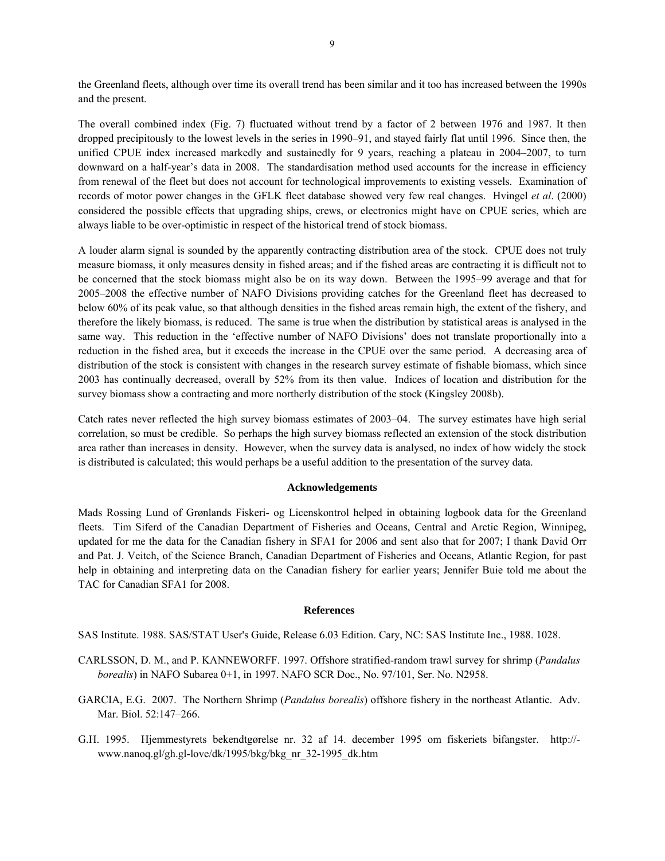the Greenland fleets, although over time its overall trend has been similar and it too has increased between the 1990s and the present.

The overall combined index (Fig. 7) fluctuated without trend by a factor of 2 between 1976 and 1987. It then dropped precipitously to the lowest levels in the series in 1990–91, and stayed fairly flat until 1996. Since then, the unified CPUE index increased markedly and sustainedly for 9 years, reaching a plateau in 2004–2007, to turn downward on a half-year's data in 2008. The standardisation method used accounts for the increase in efficiency from renewal of the fleet but does not account for technological improvements to existing vessels. Examination of records of motor power changes in the GFLK fleet database showed very few real changes. Hvingel *et al*. (2000) considered the possible effects that upgrading ships, crews, or electronics might have on CPUE series, which are always liable to be over-optimistic in respect of the historical trend of stock biomass.

A louder alarm signal is sounded by the apparently contracting distribution area of the stock. CPUE does not truly measure biomass, it only measures density in fished areas; and if the fished areas are contracting it is difficult not to be concerned that the stock biomass might also be on its way down. Between the 1995–99 average and that for 2005–2008 the effective number of NAFO Divisions providing catches for the Greenland fleet has decreased to below 60% of its peak value, so that although densities in the fished areas remain high, the extent of the fishery, and therefore the likely biomass, is reduced. The same is true when the distribution by statistical areas is analysed in the same way. This reduction in the 'effective number of NAFO Divisions' does not translate proportionally into a reduction in the fished area, but it exceeds the increase in the CPUE over the same period. A decreasing area of distribution of the stock is consistent with changes in the research survey estimate of fishable biomass, which since 2003 has continually decreased, overall by 52% from its then value. Indices of location and distribution for the survey biomass show a contracting and more northerly distribution of the stock (Kingsley 2008b).

Catch rates never reflected the high survey biomass estimates of 2003–04. The survey estimates have high serial correlation, so must be credible. So perhaps the high survey biomass reflected an extension of the stock distribution area rather than increases in density. However, when the survey data is analysed, no index of how widely the stock is distributed is calculated; this would perhaps be a useful addition to the presentation of the survey data.

### **Acknowledgements**

Mads Rossing Lund of Grønlands Fiskeri- og Licenskontrol helped in obtaining logbook data for the Greenland fleets. Tim Siferd of the Canadian Department of Fisheries and Oceans, Central and Arctic Region, Winnipeg, updated for me the data for the Canadian fishery in SFA1 for 2006 and sent also that for 2007; I thank David Orr and Pat. J. Veitch, of the Science Branch, Canadian Department of Fisheries and Oceans, Atlantic Region, for past help in obtaining and interpreting data on the Canadian fishery for earlier years; Jennifer Buie told me about the TAC for Canadian SFA1 for 2008.

### **References**

SAS Institute. 1988. SAS/STAT User's Guide, Release 6.03 Edition. Cary, NC: SAS Institute Inc., 1988. 1028.

- CARLSSON, D. M., and P. KANNEWORFF. 1997. Offshore stratified-random trawl survey for shrimp (*Pandalus borealis*) in NAFO Subarea 0+1, in 1997. NAFO SCR Doc., No. 97/101, Ser. No. N2958.
- GARCIA, E.G. 2007. The Northern Shrimp (*Pandalus borealis*) offshore fishery in the northeast Atlantic. Adv. Mar. Biol. 52:147–266.
- G.H. 1995. Hjemmestyrets bekendtgørelse nr. 32 af 14. december 1995 om fiskeriets bifangster. http:// www.nanoq.gl/gh.gl-love/dk/1995/bkg/bkg\_nr\_32-1995\_dk.htm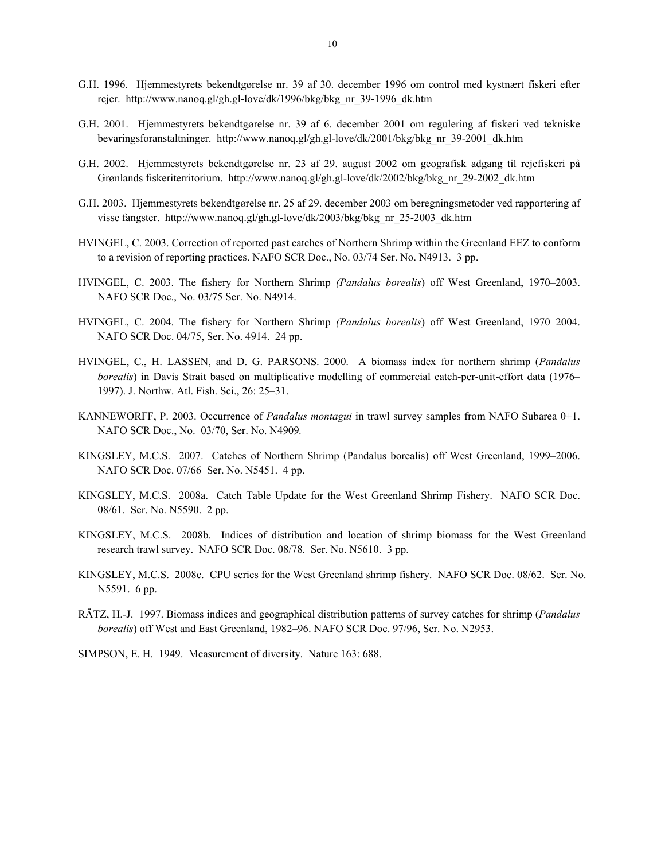- G.H. 1996. Hjemmestyrets bekendtgørelse nr. 39 af 30. december 1996 om control med kystnært fiskeri efter rejer. http://www.nanoq.gl/gh.gl-love/dk/1996/bkg/bkg\_nr\_39-1996\_dk.htm
- G.H. 2001. Hjemmestyrets bekendtgørelse nr. 39 af 6. december 2001 om regulering af fiskeri ved tekniske bevaringsforanstaltninger. http://www.nanoq.gl/gh.gl-love/dk/2001/bkg/bkg\_nr\_39-2001\_dk.htm
- G.H. 2002. Hjemmestyrets bekendtgørelse nr. 23 af 29. august 2002 om geografisk adgang til rejefiskeri på Grønlands fiskeriterritorium. http://www.nanoq.gl/gh.gl-love/dk/2002/bkg/bkg\_nr\_29-2002\_dk.htm
- G.H. 2003. Hjemmestyrets bekendtgørelse nr. 25 af 29. december 2003 om beregningsmetoder ved rapportering af visse fangster. http://www.nanoq.gl/gh.gl-love/dk/2003/bkg/bkg\_nr\_25-2003\_dk.htm
- HVINGEL, C. 2003. Correction of reported past catches of Northern Shrimp within the Greenland EEZ to conform to a revision of reporting practices. NAFO SCR Doc., No. 03/74 Ser. No. N4913. 3 pp.
- HVINGEL, C. 2003. The fishery for Northern Shrimp *(Pandalus borealis*) off West Greenland, 1970–2003. NAFO SCR Doc., No. 03/75 Ser. No. N4914.
- HVINGEL, C. 2004. The fishery for Northern Shrimp *(Pandalus borealis*) off West Greenland, 1970–2004. NAFO SCR Doc. 04/75, Ser. No. 4914. 24 pp.
- HVINGEL, C., H. LASSEN, and D. G. PARSONS. 2000. A biomass index for northern shrimp (*Pandalus borealis*) in Davis Strait based on multiplicative modelling of commercial catch-per-unit-effort data (1976– 1997). J. Northw. Atl. Fish. Sci., 26: 25–31.
- KANNEWORFF, P. 2003. Occurrence of *Pandalus montagui* in trawl survey samples from NAFO Subarea 0+1. NAFO SCR Doc., No. 03/70, Ser. No. N4909*.*
- KINGSLEY, M.C.S. 2007. Catches of Northern Shrimp (Pandalus borealis) off West Greenland, 1999–2006. NAFO SCR Doc. 07/66 Ser. No. N5451. 4 pp.
- KINGSLEY, M.C.S. 2008a. Catch Table Update for the West Greenland Shrimp Fishery. NAFO SCR Doc. 08/61. Ser. No. N5590. 2 pp.
- KINGSLEY, M.C.S. 2008b. Indices of distribution and location of shrimp biomass for the West Greenland research trawl survey. NAFO SCR Doc. 08/78. Ser. No. N5610. 3 pp.
- KINGSLEY, M.C.S. 2008c. CPU series for the West Greenland shrimp fishery. NAFO SCR Doc. 08/62. Ser. No. N5591. 6 pp.
- RÄTZ, H.-J. 1997. Biomass indices and geographical distribution patterns of survey catches for shrimp (*Pandalus borealis*) off West and East Greenland, 1982–96. NAFO SCR Doc. 97/96, Ser. No. N2953.
- SIMPSON, E. H. 1949. Measurement of diversity. Nature 163: 688.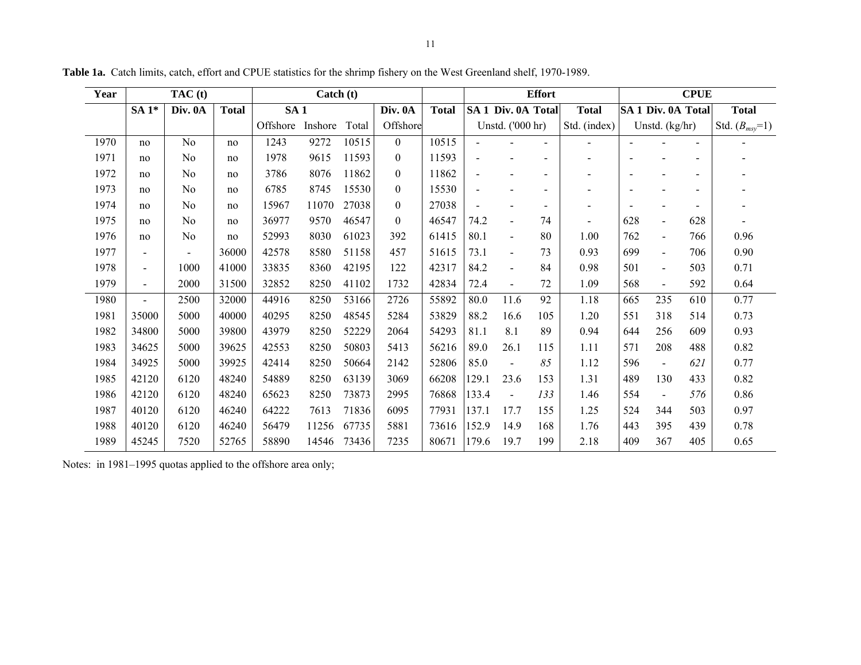| Year |                          | TAC(t)         |              |                 | Catch (t) |       |                  |              |       |                    | <b>Effort</b>            |                          |                          |                          | <b>CPUE</b>              |                    |
|------|--------------------------|----------------|--------------|-----------------|-----------|-------|------------------|--------------|-------|--------------------|--------------------------|--------------------------|--------------------------|--------------------------|--------------------------|--------------------|
|      | $SA1*$                   | Div. 0A        | <b>Total</b> | SA <sub>1</sub> |           |       | Div. 0A          | <b>Total</b> |       | SA 1 Div. 0A Total |                          | <b>Total</b>             |                          | SA 1 Div. 0A Total       |                          | <b>Total</b>       |
|      |                          |                |              | Offshore        | Inshore   | Total | Offshore         |              |       | Unstd. ('000 hr)   |                          | Std. (index)             |                          | Unstd. $(kg/hr)$         |                          | Std. $(B_{msy}=1)$ |
| 1970 | no                       | N <sub>0</sub> | no           | 1243            | 9272      | 10515 | $\theta$         | 10515        |       |                    | $\overline{\phantom{a}}$ | $\overline{\phantom{a}}$ |                          |                          | $\blacksquare$           |                    |
| 1971 | no                       | N <sub>0</sub> | no           | 1978            | 9615      | 11593 | $\boldsymbol{0}$ | 11593        |       |                    |                          |                          |                          |                          | $\overline{\phantom{0}}$ |                    |
| 1972 | no                       | N <sub>0</sub> | no           | 3786            | 8076      | 11862 | $\mathbf{0}$     | 11862        |       |                    |                          |                          |                          |                          |                          |                    |
| 1973 | no                       | N <sub>0</sub> | no           | 6785            | 8745      | 15530 | $\boldsymbol{0}$ | 15530        |       |                    |                          |                          |                          |                          |                          |                    |
| 1974 | no                       | No             | no           | 15967           | 11070     | 27038 | $\mathbf{0}$     | 27038        |       |                    | -                        | $\overline{\phantom{0}}$ | $\overline{\phantom{a}}$ |                          | $\overline{\phantom{a}}$ |                    |
| 1975 | no                       | N <sub>0</sub> | no           | 36977           | 9570      | 46547 | $\boldsymbol{0}$ | 46547        | 74.2  | $\blacksquare$     | 74                       | $\overline{\phantom{a}}$ | 628                      | $\blacksquare$           | 628                      |                    |
| 1976 | no                       | No             | no           | 52993           | 8030      | 61023 | 392              | 61415        | 80.1  | $\blacksquare$     | 80                       | 1.00                     | 762                      | $\blacksquare$           | 766                      | 0.96               |
| 1977 | $\overline{\phantom{0}}$ |                | 36000        | 42578           | 8580      | 51158 | 457              | 51615        | 73.1  | $\blacksquare$     | 73                       | 0.93                     | 699                      | $\blacksquare$           | 706                      | 0.90               |
| 1978 | $\blacksquare$           | 1000           | 41000        | 33835           | 8360      | 42195 | 122              | 42317        | 84.2  | $\blacksquare$     | 84                       | 0.98                     | 501                      | $\overline{a}$           | 503                      | 0.71               |
| 1979 | $\blacksquare$           | 2000           | 31500        | 32852           | 8250      | 41102 | 1732             | 42834        | 72.4  | $\blacksquare$     | 72                       | 1.09                     | 568                      | $\blacksquare$           | 592                      | 0.64               |
| 1980 | $\overline{a}$           | 2500           | 32000        | 44916           | 8250      | 53166 | 2726             | 55892        | 80.0  | 11.6               | 92                       | 1.18                     | 665                      | 235                      | 610                      | 0.77               |
| 1981 | 35000                    | 5000           | 40000        | 40295           | 8250      | 48545 | 5284             | 53829        | 88.2  | 16.6               | 105                      | 1.20                     | 551                      | 318                      | 514                      | 0.73               |
| 1982 | 34800                    | 5000           | 39800        | 43979           | 8250      | 52229 | 2064             | 54293        | 81.1  | 8.1                | 89                       | 0.94                     | 644                      | 256                      | 609                      | 0.93               |
| 1983 | 34625                    | 5000           | 39625        | 42553           | 8250      | 50803 | 5413             | 56216        | 89.0  | 26.1               | 115                      | 1.11                     | 571                      | 208                      | 488                      | 0.82               |
| 1984 | 34925                    | 5000           | 39925        | 42414           | 8250      | 50664 | 2142             | 52806        | 85.0  | $\blacksquare$     | 85                       | 1.12                     | 596                      | $\blacksquare$           | 621                      | 0.77               |
| 1985 | 42120                    | 6120           | 48240        | 54889           | 8250      | 63139 | 3069             | 66208        | 129.1 | 23.6               | 153                      | 1.31                     | 489                      | 130                      | 433                      | 0.82               |
| 1986 | 42120                    | 6120           | 48240        | 65623           | 8250      | 73873 | 2995             | 76868        | 133.4 | $\blacksquare$     | 133                      | 1.46                     | 554                      | $\overline{\phantom{a}}$ | 576                      | 0.86               |
| 1987 | 40120                    | 6120           | 46240        | 64222           | 7613      | 71836 | 6095             | 77931        | 137.1 | 17.7               | 155                      | 1.25                     | 524                      | 344                      | 503                      | 0.97               |
| 1988 | 40120                    | 6120           | 46240        | 56479           | 11256     | 67735 | 5881             | 73616        | 152.9 | 14.9               | 168                      | 1.76                     | 443                      | 395                      | 439                      | 0.78               |
| 1989 | 45245                    | 7520           | 52765        | 58890           | 14546     | 73436 | 7235             | 80671        | 179.6 | 19.7               | 199                      | 2.18                     | 409                      | 367                      | 405                      | 0.65               |

**Table 1a.** Catch limits, catch, effort and CPUE statistics for the shrimp fishery on the West Greenland shelf, 1970-1989.

Notes: in 1981–1995 quotas applied to the offshore area only;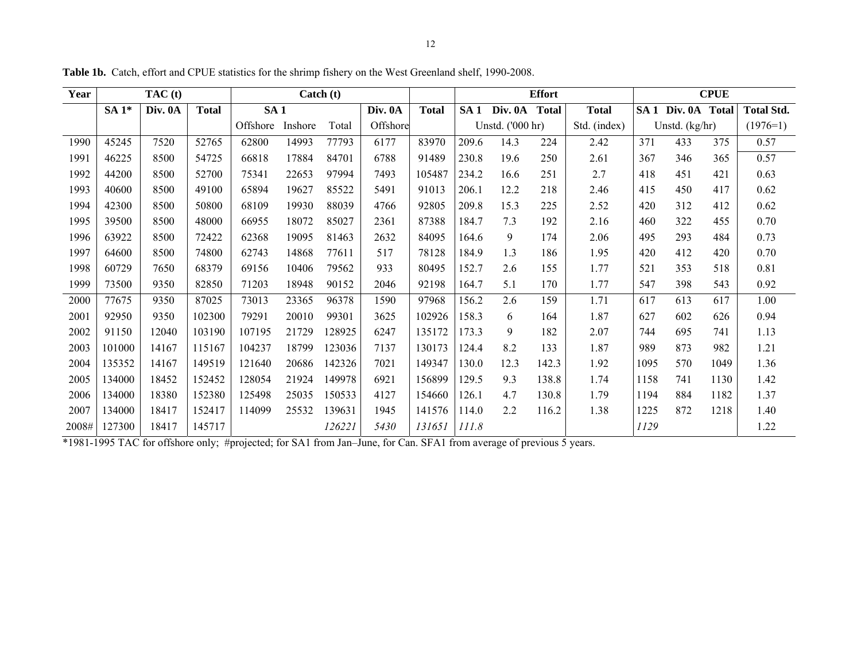| Year  |        | TAC(t)  |              |                 |         | $\text{Catch}(t)$ |          |              |                 |                  | <b>Effort</b> |              |      |                    | <b>CPUE</b> |                   |
|-------|--------|---------|--------------|-----------------|---------|-------------------|----------|--------------|-----------------|------------------|---------------|--------------|------|--------------------|-------------|-------------------|
|       | $SA1*$ | Div. 0A | <b>Total</b> | SA <sub>1</sub> |         |                   | Div. 0A  | <b>Total</b> | SA <sub>1</sub> | Div. 0A          | <b>Total</b>  | <b>Total</b> |      | SA 1 Div. 0A Total |             | <b>Total Std.</b> |
|       |        |         |              | Offshore        | Inshore | Total             | Offshore |              |                 | Unstd. ('000 hr) |               | Std. (index) |      | Unstd. (kg/hr)     |             | $(1976=1)$        |
| 1990  | 45245  | 7520    | 52765        | 62800           | 14993   | 77793             | 6177     | 83970        | 209.6           | 14.3             | 224           | 2.42         | 371  | 433                | 375         | 0.57              |
| 1991  | 46225  | 8500    | 54725        | 66818           | 17884   | 84701             | 6788     | 91489        | 230.8           | 19.6             | 250           | 2.61         | 367  | 346                | 365         | 0.57              |
| 1992  | 44200  | 8500    | 52700        | 75341           | 22653   | 97994             | 7493     | 105487       | 234.2           | 16.6             | 251           | 2.7          | 418  | 451                | 421         | 0.63              |
| 1993  | 40600  | 8500    | 49100        | 65894           | 19627   | 85522             | 5491     | 91013        | 206.1           | 12.2             | 218           | 2.46         | 415  | 450                | 417         | 0.62              |
| 1994  | 42300  | 8500    | 50800        | 68109           | 19930   | 88039             | 4766     | 92805        | 209.8           | 15.3             | 225           | 2.52         | 420  | 312                | 412         | 0.62              |
| 1995  | 39500  | 8500    | 48000        | 66955           | 18072   | 85027             | 2361     | 87388        | 184.7           | 7.3              | 192           | 2.16         | 460  | 322                | 455         | 0.70              |
| 1996  | 63922  | 8500    | 72422        | 62368           | 19095   | 81463             | 2632     | 84095        | 164.6           | 9                | 174           | 2.06         | 495  | 293                | 484         | 0.73              |
| 1997  | 64600  | 8500    | 74800        | 62743           | 14868   | 77611             | 517      | 78128        | 184.9           | 1.3              | 186           | 1.95         | 420  | 412                | 420         | 0.70              |
| 1998  | 60729  | 7650    | 68379        | 69156           | 10406   | 79562             | 933      | 80495        | 152.7           | 2.6              | 155           | 1.77         | 521  | 353                | 518         | 0.81              |
| 1999  | 73500  | 9350    | 82850        | 71203           | 18948   | 90152             | 2046     | 92198        | 164.7           | 5.1              | 170           | 1.77         | 547  | 398                | 543         | 0.92              |
| 2000  | 77675  | 9350    | 87025        | 73013           | 23365   | 96378             | 1590     | 97968        | 156.2           | 2.6              | 159           | 1.71         | 617  | 613                | 617         | 1.00              |
| 2001  | 92950  | 9350    | 102300       | 79291           | 20010   | 99301             | 3625     | 102926       | 158.3           | 6                | 164           | 1.87         | 627  | 602                | 626         | 0.94              |
| 2002  | 91150  | 12040   | 103190       | 107195          | 21729   | 128925            | 6247     | 135172       | 173.3           | 9                | 182           | 2.07         | 744  | 695                | 741         | 1.13              |
| 2003  | 101000 | 14167   | 115167       | 104237          | 18799   | 123036            | 7137     | 130173       | 124.4           | 8.2              | 133           | 1.87         | 989  | 873                | 982         | 1.21              |
| 2004  | 135352 | 14167   | 149519       | 121640          | 20686   | 142326            | 7021     | 149347       | 130.0           | 12.3             | 142.3         | 1.92         | 1095 | 570                | 1049        | 1.36              |
| 2005  | 134000 | 18452   | 152452       | 128054          | 21924   | 149978            | 6921     | 156899       | 129.5           | 9.3              | 138.8         | 1.74         | 1158 | 741                | 1130        | 1.42              |
| 2006  | 134000 | 18380   | 152380       | 125498          | 25035   | 150533            | 4127     | 154660       | 126.1           | 4.7              | 130.8         | 1.79         | 1194 | 884                | 1182        | 1.37              |
| 2007  | 134000 | 18417   | 152417       | 114099          | 25532   | 139631            | 1945     | 141576       | 114.0           | 2.2              | 116.2         | 1.38         | 1225 | 872                | 1218        | 1.40              |
| 2008# | 127300 | 18417   | 145717       |                 |         | 126221            | 5430     | 131651       | 111.8           |                  |               |              | 1129 |                    |             | 1.22              |

**Table 1b.** Catch, effort and CPUE statistics for the shrimp fishery on the West Greenland shelf, 1990-2008.

\*1981-1995 TAC for offshore only; #projected; for SA1 from Jan–June, for Can. SFA1 from average of previous 5 years.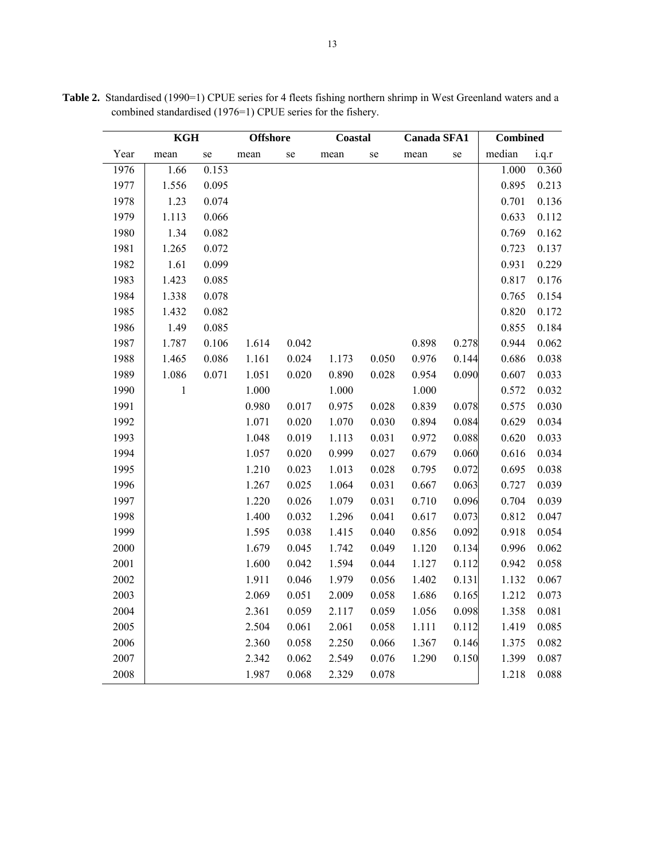|      | <b>KGH</b>   |       | <b>Offshore</b> |       | <b>Coastal</b> |       | <b>Canada SFA1</b> |           | <b>Combined</b> |       |
|------|--------------|-------|-----------------|-------|----------------|-------|--------------------|-----------|-----------------|-------|
| Year | mean         | se    | mean            | se    | mean           | se    | mean               | $\rm{se}$ | median          | i.q.r |
| 1976 | 1.66         | 0.153 |                 |       |                |       |                    |           | 1.000           | 0.360 |
| 1977 | 1.556        | 0.095 |                 |       |                |       |                    |           | 0.895           | 0.213 |
| 1978 | 1.23         | 0.074 |                 |       |                |       |                    |           | 0.701           | 0.136 |
| 1979 | 1.113        | 0.066 |                 |       |                |       |                    |           | 0.633           | 0.112 |
| 1980 | 1.34         | 0.082 |                 |       |                |       |                    |           | 0.769           | 0.162 |
| 1981 | 1.265        | 0.072 |                 |       |                |       |                    |           | 0.723           | 0.137 |
| 1982 | 1.61         | 0.099 |                 |       |                |       |                    |           | 0.931           | 0.229 |
| 1983 | 1.423        | 0.085 |                 |       |                |       |                    |           | 0.817           | 0.176 |
| 1984 | 1.338        | 0.078 |                 |       |                |       |                    |           | 0.765           | 0.154 |
| 1985 | 1.432        | 0.082 |                 |       |                |       |                    |           | 0.820           | 0.172 |
| 1986 | 1.49         | 0.085 |                 |       |                |       |                    |           | 0.855           | 0.184 |
| 1987 | 1.787        | 0.106 | 1.614           | 0.042 |                |       | 0.898              | 0.278     | 0.944           | 0.062 |
| 1988 | 1.465        | 0.086 | 1.161           | 0.024 | 1.173          | 0.050 | 0.976              | 0.144     | 0.686           | 0.038 |
| 1989 | 1.086        | 0.071 | 1.051           | 0.020 | 0.890          | 0.028 | 0.954              | 0.090     | 0.607           | 0.033 |
| 1990 | $\mathbf{1}$ |       | 1.000           |       | 1.000          |       | 1.000              |           | 0.572           | 0.032 |
| 1991 |              |       | 0.980           | 0.017 | 0.975          | 0.028 | 0.839              | 0.078     | 0.575           | 0.030 |
| 1992 |              |       | 1.071           | 0.020 | 1.070          | 0.030 | 0.894              | 0.084     | 0.629           | 0.034 |
| 1993 |              |       | 1.048           | 0.019 | 1.113          | 0.031 | 0.972              | 0.088     | 0.620           | 0.033 |
| 1994 |              |       | 1.057           | 0.020 | 0.999          | 0.027 | 0.679              | 0.060     | 0.616           | 0.034 |
| 1995 |              |       | 1.210           | 0.023 | 1.013          | 0.028 | 0.795              | 0.072     | 0.695           | 0.038 |
| 1996 |              |       | 1.267           | 0.025 | 1.064          | 0.031 | 0.667              | 0.063     | 0.727           | 0.039 |
| 1997 |              |       | 1.220           | 0.026 | 1.079          | 0.031 | 0.710              | 0.096     | 0.704           | 0.039 |
| 1998 |              |       | 1.400           | 0.032 | 1.296          | 0.041 | 0.617              | 0.073     | 0.812           | 0.047 |
| 1999 |              |       | 1.595           | 0.038 | 1.415          | 0.040 | 0.856              | 0.092     | 0.918           | 0.054 |
| 2000 |              |       | 1.679           | 0.045 | 1.742          | 0.049 | 1.120              | 0.134     | 0.996           | 0.062 |
| 2001 |              |       | 1.600           | 0.042 | 1.594          | 0.044 | 1.127              | 0.112     | 0.942           | 0.058 |
| 2002 |              |       | 1.911           | 0.046 | 1.979          | 0.056 | 1.402              | 0.131     | 1.132           | 0.067 |
| 2003 |              |       | 2.069           | 0.051 | 2.009          | 0.058 | 1.686              | 0.165     | 1.212           | 0.073 |
| 2004 |              |       | 2.361           | 0.059 | 2.117          | 0.059 | 1.056              | 0.098     | 1.358           | 0.081 |
| 2005 |              |       | 2.504           | 0.061 | 2.061          | 0.058 | 1.111              | 0.112     | 1.419           | 0.085 |
| 2006 |              |       | 2.360           | 0.058 | 2.250          | 0.066 | 1.367              | 0.146     | 1.375           | 0.082 |
| 2007 |              |       | 2.342           | 0.062 | 2.549          | 0.076 | 1.290              | 0.150     | 1.399           | 0.087 |
| 2008 |              |       | 1.987           | 0.068 | 2.329          | 0.078 |                    |           | 1.218           | 0.088 |

Table 2. Standardised (1990=1) CPUE series for 4 fleets fishing northern shrimp in West Greenland waters and a combined standardised (1976=1) CPUE series for the fishery.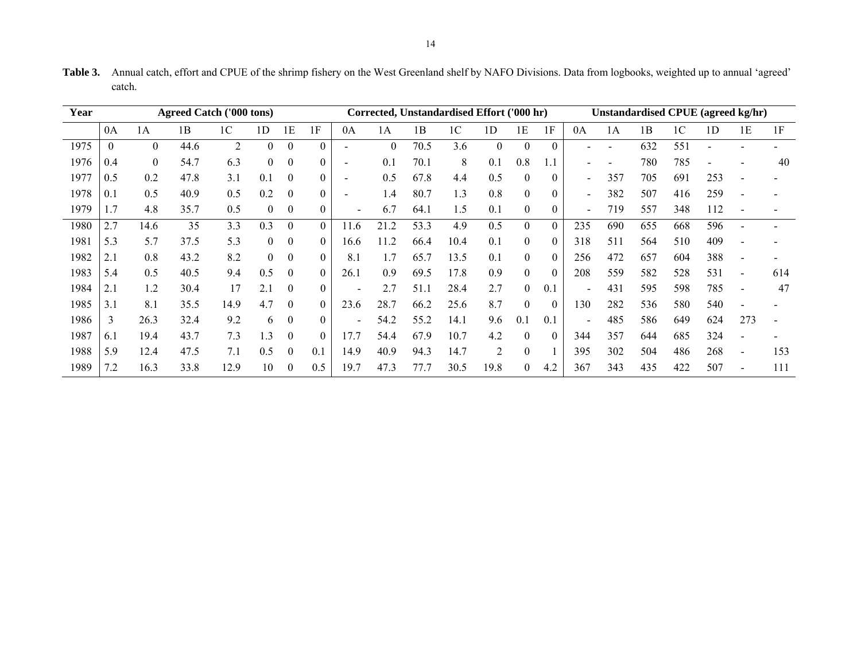| Year |     | <b>Agreed Catch ('000 tons)</b><br>Corrected, Unstandardised Effort ('000 hr) |      |                |                |                  |                  |                          |          |      |      | Unstandardised CPUE (agreed kg/hr) |                |          |                          |     |     |     |                |     |     |
|------|-----|-------------------------------------------------------------------------------|------|----------------|----------------|------------------|------------------|--------------------------|----------|------|------|------------------------------------|----------------|----------|--------------------------|-----|-----|-----|----------------|-----|-----|
|      | 0A  | 1Α                                                                            | 1B   | 1C             | 1D             | 1Е               | 1F               | 0A                       | 1Α       | 1B   | 1C   | 1D                                 | 1Ε             | 1F       | 0A                       | 1А  | 1B  | 1C  | 1 <sub>D</sub> | 1E  | 1F  |
| 1975 |     | $\theta$                                                                      | 44.6 | $\overline{2}$ | $\theta$       | $\theta$         | $\theta$         |                          | $\theta$ | 70.5 | 3.6  | $\mathbf{0}$                       | $\theta$       | $\Omega$ |                          |     | 632 | 551 |                |     |     |
| 1976 | 0.4 | $\theta$                                                                      | 54.7 | 6.3            | $\overline{0}$ | $\mathbf{0}$     | $\boldsymbol{0}$ |                          | 0.1      | 70.1 | 8    | 0.1                                | 0.8            |          |                          |     | 780 | 785 |                |     | 40  |
| 1977 | 0.5 | 0.2                                                                           | 47.8 | 3.1            | 0.1            | $\theta$         | $\boldsymbol{0}$ |                          | 0.5      | 67.8 | 4.4  | 0.5                                | $\theta$       | $\theta$ | $\overline{\phantom{a}}$ | 357 | 705 | 691 | 253            |     |     |
| 1978 | 0.1 | 0.5                                                                           | 40.9 | 0.5            | 0.2            | $\theta$         | $\theta$         |                          | 1.4      | 80.7 | 1.3  | 0.8                                | $\theta$       | $\theta$ | $\overline{\phantom{a}}$ | 382 | 507 | 416 | 259            |     |     |
| 1979 | l.7 | 4.8                                                                           | 35.7 | 0.5            | $\Omega$       | $\boldsymbol{0}$ | $\mathbf{0}$     | $\overline{\phantom{a}}$ | 6.7      | 64.1 | 1.5  | 0.1                                | $\mathbf{0}$   | 0        | $\overline{\phantom{a}}$ | 719 | 557 | 348 | 112            |     |     |
| 1980 | 2.7 | 14.6                                                                          | 35   | 3.3            | 0.3            | $\mathbf{0}$     | $\theta$         | 11.6                     | 21.2     | 53.3 | 4.9  | 0.5                                | $\overline{0}$ | $\Omega$ | 235                      | 690 | 655 | 668 | 596            |     |     |
| 1981 | 5.3 | 5.7                                                                           | 37.5 | 5.3            | $\overline{0}$ | $\boldsymbol{0}$ | $\mathbf{0}$     | 16.6                     | 11.2     | 66.4 | 10.4 | 0.1                                | $\mathbf{0}$   | $\theta$ | 318                      | 511 | 564 | 510 | 409            |     |     |
| 1982 | 2.1 | 0.8                                                                           | 43.2 | 8.2            | $\theta$       | $\boldsymbol{0}$ | $\theta$         | 8.1                      | 1.7      | 65.7 | 13.5 | 0.1                                | $\theta$       | $\theta$ | 256                      | 472 | 657 | 604 | 388            |     |     |
| 1983 | 5.4 | 0.5                                                                           | 40.5 | 9.4            | 0.5            | $\boldsymbol{0}$ | $\mathbf{0}$     | 26.1                     | 0.9      | 69.5 | 17.8 | 0.9                                | $\theta$       | $\Omega$ | 208                      | 559 | 582 | 528 | 531            |     | 614 |
| 1984 |     | 1.2                                                                           | 30.4 | 17             | 2.1            | $\theta$         | $\theta$         |                          | 2.7      | 51.1 | 28.4 | 2.7                                | 0              | 0.1      | $\overline{\phantom{a}}$ | 431 | 595 | 598 | 785            | ۰   | 47  |
| 1985 | 3.1 | 8.1                                                                           | 35.5 | 14.9           | 4.7            | $\theta$         | $\boldsymbol{0}$ | 23.6                     | 28.7     | 66.2 | 25.6 | 8.7                                | $\theta$       | $\theta$ | 130                      | 282 | 536 | 580 | 540            |     |     |
| 1986 | 3   | 26.3                                                                          | 32.4 | 9.2            | 6              | $\mathbf{0}$     | $\theta$         | $\blacksquare$           | 54.2     | 55.2 | 14.1 | 9.6                                | 0.1            | 0.1      | $\overline{\phantom{a}}$ | 485 | 586 | 649 | 624            | 273 |     |
| 1987 | 6.1 | 19.4                                                                          | 43.7 | 7.3            | 1.3            | $\boldsymbol{0}$ | $\theta$         | 17.7                     | 54.4     | 67.9 | 10.7 | 4.2                                | $\Omega$       | $\theta$ | 344                      | 357 | 644 | 685 | 324            |     |     |
| 1988 | 5.9 | 12.4                                                                          | 47.5 | 7.1            | 0.5            | $\theta$         | 0.1              | 14.9                     | 40.9     | 94.3 | 14.7 | 2                                  | $\theta$       |          | 395                      | 302 | 504 | 486 | 268            |     | 153 |
| 1989 | '.2 | 16.3                                                                          | 33.8 | 12.9           | 10             | $\boldsymbol{0}$ | 0.5              | 19.7                     | 47.3     | 77.7 | 30.5 | 19.8                               | 0              | 4.2      | 367                      | 343 | 435 | 422 | 507            |     | 111 |

**Table 3.** Annual catch, effort and CPUE of the shrimp fishery on the West Greenland shelf by NAFO Divisions. Data from logbooks, weighted up to annual 'agreed' catch.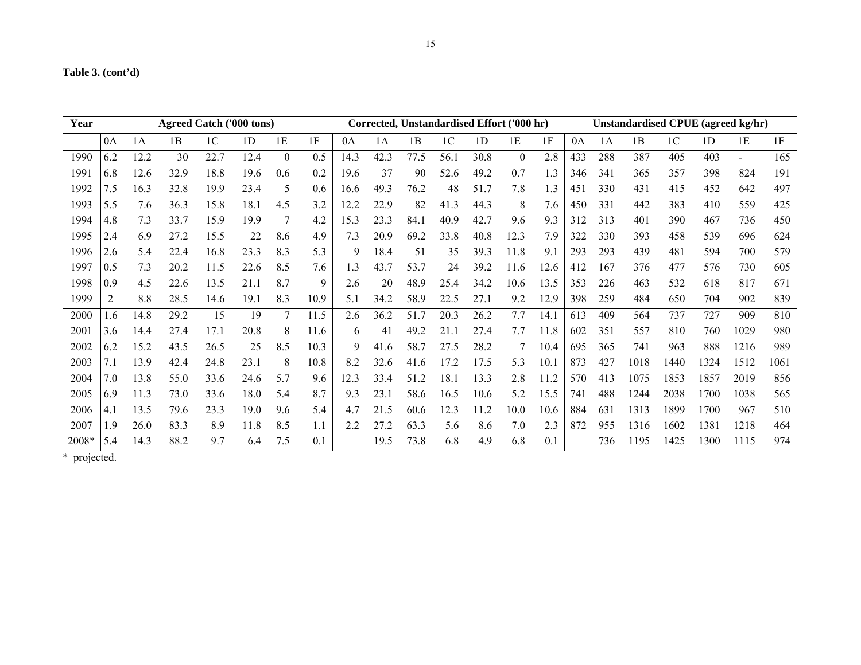| Year  | <b>Agreed Catch ('000 tons)</b> |      |      |                |                | Corrected, Unstandardised Effort ('000 hr) |      |      |      | Unstandardised CPUE (agreed kg/hr) |                |                |                  |      |     |     |      |                |                |                |      |
|-------|---------------------------------|------|------|----------------|----------------|--------------------------------------------|------|------|------|------------------------------------|----------------|----------------|------------------|------|-----|-----|------|----------------|----------------|----------------|------|
|       | 0A                              | 1A   | 1B   | 1 <sup>C</sup> | 1 <sub>D</sub> | 1E                                         | 1F   | 0A   | 1A   | 1B                                 | 1 <sup>C</sup> | 1 <sub>D</sub> | 1E               | 1F   | 0A  | 1A  | 1B   | 1 <sup>C</sup> | 1 <sub>D</sub> | 1E             | 1F   |
| 1990  | 6.2                             | 12.2 | 30   | 22.7           | 12.4           | $\theta$                                   | 0.5  | 14.3 | 42.3 | 77.5                               | 56.1           | 30.8           | $\boldsymbol{0}$ | 2.8  | 433 | 288 | 387  | 405            | 403            | $\blacksquare$ | 165  |
| 1991  | 6.8                             | 12.6 | 32.9 | 18.8           | 19.6           | 0.6                                        | 0.2  | 19.6 | 37   | 90                                 | 52.6           | 49.2           | 0.7              | 1.3  | 346 | 341 | 365  | 357            | 398            | 824            | 191  |
| 1992  | 7.5                             | 16.3 | 32.8 | 19.9           | 23.4           | 5                                          | 0.6  | 16.6 | 49.3 | 76.2                               | 48             | 51.7           | 7.8              | 1.3  | 451 | 330 | 431  | 415            | 452            | 642            | 497  |
| 1993  | 5.5                             | 7.6  | 36.3 | 15.8           | 18.1           | 4.5                                        | 3.2  | 12.2 | 22.9 | 82                                 | 41.3           | 44.3           | 8                | 7.6  | 450 | 331 | 442  | 383            | 410            | 559            | 425  |
| 1994  | 4.8                             | 7.3  | 33.7 | 15.9           | 19.9           | 7                                          | 4.2  | 15.3 | 23.3 | 84.1                               | 40.9           | 42.7           | 9.6              | 9.3  | 312 | 313 | 401  | 390            | 467            | 736            | 450  |
| 1995  | 2.4                             | 6.9  | 27.2 | 15.5           | 22             | 8.6                                        | 4.9  | 7.3  | 20.9 | 69.2                               | 33.8           | 40.8           | 12.3             | 7.9  | 322 | 330 | 393  | 458            | 539            | 696            | 624  |
| 1996  | 2.6                             | 5.4  | 22.4 | 16.8           | 23.3           | 8.3                                        | 5.3  | 9    | 18.4 | 51                                 | 35             | 39.3           | 11.8             | 9.1  | 293 | 293 | 439  | 481            | 594            | 700            | 579  |
| 1997  | 0.5                             | 7.3  | 20.2 | 11.5           | 22.6           | 8.5                                        | 7.6  | 1.3  | 43.7 | 53.7                               | 24             | 39.2           | 11.6             | 12.6 | 412 | 167 | 376  | 477            | 576            | 730            | 605  |
| 1998  | 0.9                             | 4.5  | 22.6 | 13.5           | 21.1           | 8.7                                        | 9    | 2.6  | 20   | 48.9                               | 25.4           | 34.2           | 10.6             | 13.5 | 353 | 226 | 463  | 532            | 618            | 817            | 671  |
| 1999  | 2                               | 8.8  | 28.5 | 14.6           | 19.1           | 8.3                                        | 10.9 | 5.1  | 34.2 | 58.9                               | 22.5           | 27.1           | 9.2              | 12.9 | 398 | 259 | 484  | 650            | 704            | 902            | 839  |
| 2000  | .6                              | 14.8 | 29.2 | 15             | 19             |                                            | 11.5 | 2.6  | 36.2 | 51.7                               | 20.3           | 26.2           | 7.7              | 14.1 | 613 | 409 | 564  | 737            | 727            | 909            | 810  |
| 2001  | 3.6                             | 14.4 | 27.4 | 17.1           | 20.8           | 8                                          | 11.6 | 6    | 41   | 49.2                               | 21.1           | 27.4           | 7.7              | 11.8 | 602 | 351 | 557  | 810            | 760            | 1029           | 980  |
| 2002  | 6.2                             | 15.2 | 43.5 | 26.5           | 25             | 8.5                                        | 10.3 | 9    | 41.6 | 58.7                               | 27.5           | 28.2           | 7                | 10.4 | 695 | 365 | 741  | 963            | 888            | 1216           | 989  |
| 2003  | 7.1                             | 13.9 | 42.4 | 24.8           | 23.1           | 8                                          | 10.8 | 8.2  | 32.6 | 41.6                               | 17.2           | 17.5           | 5.3              | 10.1 | 873 | 427 | 1018 | 1440           | 1324           | 1512           | 1061 |
| 2004  | 7.0                             | 13.8 | 55.0 | 33.6           | 24.6           | 5.7                                        | 9.6  | 12.3 | 33.4 | 51.2                               | 18.1           | 13.3           | 2.8              | 11.2 | 570 | 413 | 1075 | 1853           | 1857           | 2019           | 856  |
| 2005  | 6.9                             | 11.3 | 73.0 | 33.6           | 18.0           | 5.4                                        | 8.7  | 9.3  | 23.1 | 58.6                               | 16.5           | 10.6           | 5.2              | 15.5 | 741 | 488 | 1244 | 2038           | 1700           | 1038           | 565  |
| 2006  | 4.1                             | 13.5 | 79.6 | 23.3           | 19.0           | 9.6                                        | 5.4  | 4.7  | 21.5 | 60.6                               | 12.3           | 11.2           | 10.0             | 10.6 | 884 | 631 | 1313 | 1899           | 1700           | 967            | 510  |
| 2007  | L.9                             | 26.0 | 83.3 | 8.9            | 11.8           | 8.5                                        | 1.1  | 2.2  | 27.2 | 63.3                               | 5.6            | 8.6            | 7.0              | 2.3  | 872 | 955 | 1316 | 1602           | 1381           | 1218           | 464  |
| 2008* | 5.4                             | 14.3 | 88.2 | 9.7            | 6.4            | 7.5                                        | 0.1  |      | 19.5 | 73.8                               | 6.8            | 4.9            | 6.8              | 0.1  |     | 736 | 1195 | 1425           | 1300           | 1115           | 974  |

\* projected.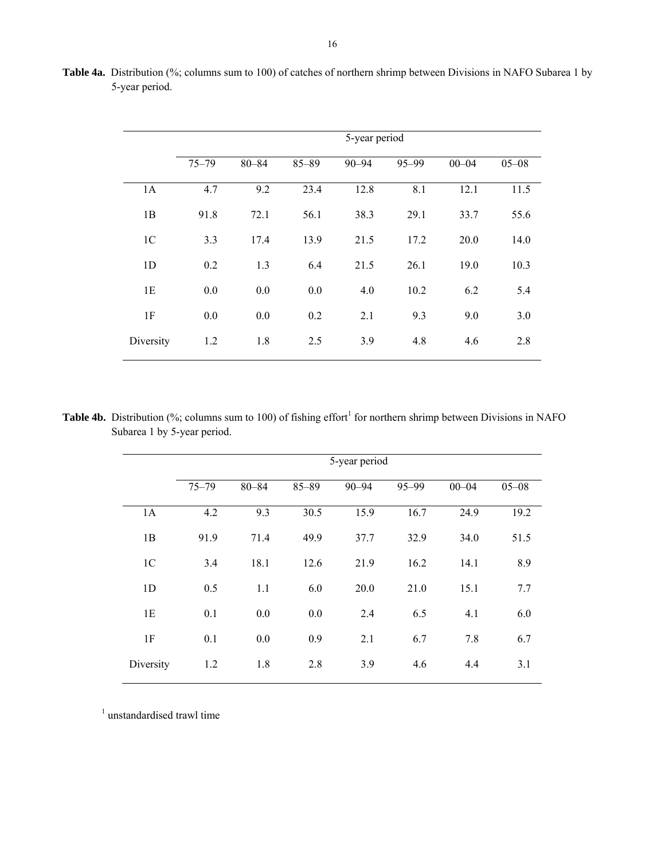|                | 5-year period |           |           |           |           |           |           |  |  |
|----------------|---------------|-----------|-----------|-----------|-----------|-----------|-----------|--|--|
|                | $75 - 79$     | $80 - 84$ | $85 - 89$ | $90 - 94$ | $95 - 99$ | $00 - 04$ | $05 - 08$ |  |  |
| 1A             | 4.7           | 9.2       | 23.4      | 12.8      | 8.1       | 12.1      | 11.5      |  |  |
| 1B             | 91.8          | 72.1      | 56.1      | 38.3      | 29.1      | 33.7      | 55.6      |  |  |
| 1 <sup>C</sup> | 3.3           | 17.4      | 13.9      | 21.5      | 17.2      | 20.0      | 14.0      |  |  |
| 1 <sub>D</sub> | 0.2           | 1.3       | 6.4       | 21.5      | 26.1      | 19.0      | 10.3      |  |  |
| 1E             | 0.0           | 0.0       | 0.0       | 4.0       | 10.2      | 6.2       | 5.4       |  |  |
| 1F             | 0.0           | 0.0       | 0.2       | 2.1       | 9.3       | 9.0       | 3.0       |  |  |
| Diversity      | 1.2           | 1.8       | 2.5       | 3.9       | 4.8       | 4.6       | 2.8       |  |  |

**Table 4a.** Distribution (%; columns sum to 100) of catches of northern shrimp between Divisions in NAFO Subarea 1 by 5-year period.

**Table 4b.** Distribution (%; columns sum to 100) of fishing effort<sup>1</sup> for northern shrimp between Divisions in NAFO Subarea 1 by 5-year period.

|                | 5-year period |           |           |           |       |           |           |  |  |  |  |
|----------------|---------------|-----------|-----------|-----------|-------|-----------|-----------|--|--|--|--|
|                | $75 - 79$     | $80 - 84$ | $85 - 89$ | $90 - 94$ | 95-99 | $00 - 04$ | $05 - 08$ |  |  |  |  |
| 1A             | 4.2           | 9.3       | 30.5      | 15.9      | 16.7  | 24.9      | 19.2      |  |  |  |  |
| 1B             | 91.9          | 71.4      | 49.9      | 37.7      | 32.9  | 34.0      | 51.5      |  |  |  |  |
| 1 <sup>C</sup> | 3.4           | 18.1      | 12.6      | 21.9      | 16.2  | 14.1      | 8.9       |  |  |  |  |
| 1D             | 0.5           | 1.1       | 6.0       | 20.0      | 21.0  | 15.1      | 7.7       |  |  |  |  |
| 1E             | 0.1           | 0.0       | 0.0       | 2.4       | 6.5   | 4.1       | 6.0       |  |  |  |  |
| 1F             | 0.1           | 0.0       | 0.9       | 2.1       | 6.7   | 7.8       | 6.7       |  |  |  |  |
| Diversity      | 1.2           | 1.8       | 2.8       | 3.9       | 4.6   | 4.4       | 3.1       |  |  |  |  |

<sup>1</sup> unstandardised trawl time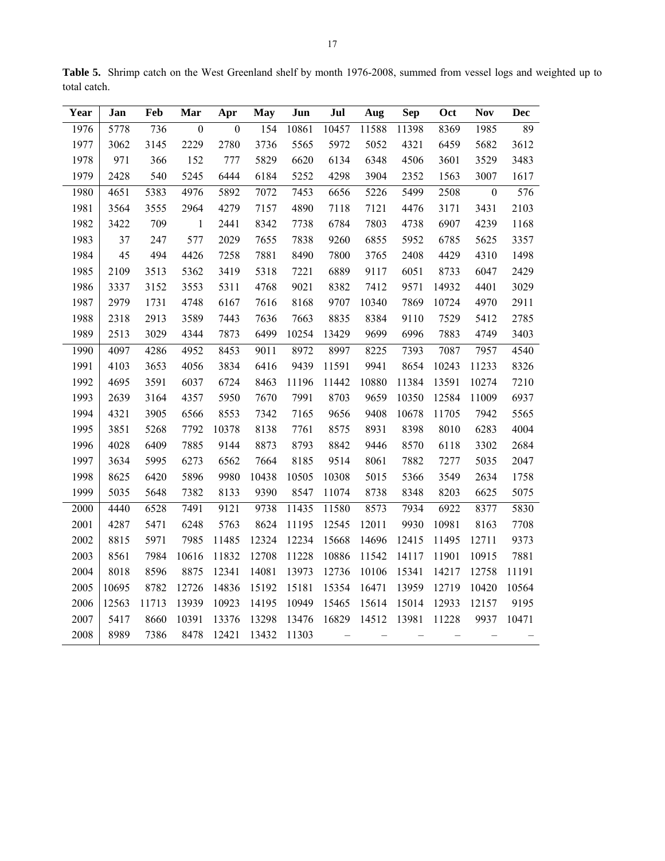| Year | Jan   | Feb   | Mar              | Apr              | <b>May</b> | Jun   | Jul                      | Aug               | <b>Sep</b> | Oct   | <b>Nov</b>       | Dec   |
|------|-------|-------|------------------|------------------|------------|-------|--------------------------|-------------------|------------|-------|------------------|-------|
| 1976 | 5778  | 736   | $\boldsymbol{0}$ | $\boldsymbol{0}$ | 154        | 10861 | 10457                    | 11588             | 11398      | 8369  | 1985             | 89    |
| 1977 | 3062  | 3145  | 2229             | 2780             | 3736       | 5565  | 5972                     | 5052              | 4321       | 6459  | 5682             | 3612  |
| 1978 | 971   | 366   | 152              | 777              | 5829       | 6620  | 6134                     | 6348              | 4506       | 3601  | 3529             | 3483  |
| 1979 | 2428  | 540   | 5245             | 6444             | 6184       | 5252  | 4298                     | 3904              | 2352       | 1563  | 3007             | 1617  |
| 1980 | 4651  | 5383  | 4976             | 5892             | 7072       | 7453  | 6656                     | 5226              | 5499       | 2508  | $\boldsymbol{0}$ | 576   |
| 1981 | 3564  | 3555  | 2964             | 4279             | 7157       | 4890  | 7118                     | 7121              | 4476       | 3171  | 3431             | 2103  |
| 1982 | 3422  | 709   | $\mathbf{1}$     | 2441             | 8342       | 7738  | 6784                     | 7803              | 4738       | 6907  | 4239             | 1168  |
| 1983 | 37    | 247   | 577              | 2029             | 7655       | 7838  | 9260                     | 6855              | 5952       | 6785  | 5625             | 3357  |
| 1984 | 45    | 494   | 4426             | 7258             | 7881       | 8490  | 7800                     | 3765              | 2408       | 4429  | 4310             | 1498  |
| 1985 | 2109  | 3513  | 5362             | 3419             | 5318       | 7221  | 6889                     | 9117              | 6051       | 8733  | 6047             | 2429  |
| 1986 | 3337  | 3152  | 3553             | 5311             | 4768       | 9021  | 8382                     | 7412              | 9571       | 14932 | 4401             | 3029  |
| 1987 | 2979  | 1731  | 4748             | 6167             | 7616       | 8168  | 9707                     | 10340             | 7869       | 10724 | 4970             | 2911  |
| 1988 | 2318  | 2913  | 3589             | 7443             | 7636       | 7663  | 8835                     | 8384              | 9110       | 7529  | 5412             | 2785  |
| 1989 | 2513  | 3029  | 4344             | 7873             | 6499       | 10254 | 13429                    | 9699              | 6996       | 7883  | 4749             | 3403  |
| 1990 | 4097  | 4286  | 4952             | 8453             | 9011       | 8972  | 8997                     | 8225              | 7393       | 7087  | 7957             | 4540  |
| 1991 | 4103  | 3653  | 4056             | 3834             | 6416       | 9439  | 11591                    | 9941              | 8654       | 10243 | 11233            | 8326  |
| 1992 | 4695  | 3591  | 6037             | 6724             | 8463       | 11196 | 11442                    | 10880             | 11384      | 13591 | 10274            | 7210  |
| 1993 | 2639  | 3164  | 4357             | 5950             | 7670       | 7991  | 8703                     | 9659              | 10350      | 12584 | 11009            | 6937  |
| 1994 | 4321  | 3905  | 6566             | 8553             | 7342       | 7165  | 9656                     | 9408              | 10678      | 11705 | 7942             | 5565  |
| 1995 | 3851  | 5268  | 7792             | 10378            | 8138       | 7761  | 8575                     | 8931              | 8398       | 8010  | 6283             | 4004  |
| 1996 | 4028  | 6409  | 7885             | 9144             | 8873       | 8793  | 8842                     | 9446              | 8570       | 6118  | 3302             | 2684  |
| 1997 | 3634  | 5995  | 6273             | 6562             | 7664       | 8185  | 9514                     | 8061              | 7882       | 7277  | 5035             | 2047  |
| 1998 | 8625  | 6420  | 5896             | 9980             | 10438      | 10505 | 10308                    | 5015              | 5366       | 3549  | 2634             | 1758  |
| 1999 | 5035  | 5648  | 7382             | 8133             | 9390       | 8547  | 11074                    | 8738              | 8348       | 8203  | 6625             | 5075  |
| 2000 | 4440  | 6528  | 7491             | 9121             | 9738       | 11435 | 11580                    | 8573              | 7934       | 6922  | 8377             | 5830  |
| 2001 | 4287  | 5471  | 6248             | 5763             | 8624       | 11195 | 12545                    | 12011             | 9930       | 10981 | 8163             | 7708  |
| 2002 | 8815  | 5971  | 7985             | 11485            | 12324      | 12234 | 15668                    | 14696             | 12415      | 11495 | 12711            | 9373  |
| 2003 | 8561  | 7984  | 10616            | 11832            | 12708      | 11228 | 10886                    | 11542             | 14117      | 11901 | 10915            | 7881  |
| 2004 | 8018  | 8596  | 8875             | 12341            | 14081      | 13973 | 12736                    | 10106             | 15341      | 14217 | 12758            | 11191 |
| 2005 | 10695 | 8782  | 12726            | 14836            | 15192      | 15181 | 15354                    | 16471             | 13959      | 12719 | 10420            | 10564 |
| 2006 | 12563 | 11713 | 13939            | 10923            | 14195      | 10949 | 15465                    | 15614             | 15014      | 12933 | 12157            | 9195  |
| 2007 | 5417  | 8660  | 10391            | 13376            | 13298      | 13476 | 16829                    | 14512             | 13981      | 11228 | 9937             | 10471 |
| 2008 | 8989  | 7386  | 8478             | 12421            | 13432      | 11303 | $\overline{\phantom{0}}$ | $\qquad \qquad -$ |            |       |                  |       |

**Table 5.** Shrimp catch on the West Greenland shelf by month 1976-2008, summed from vessel logs and weighted up to total catch.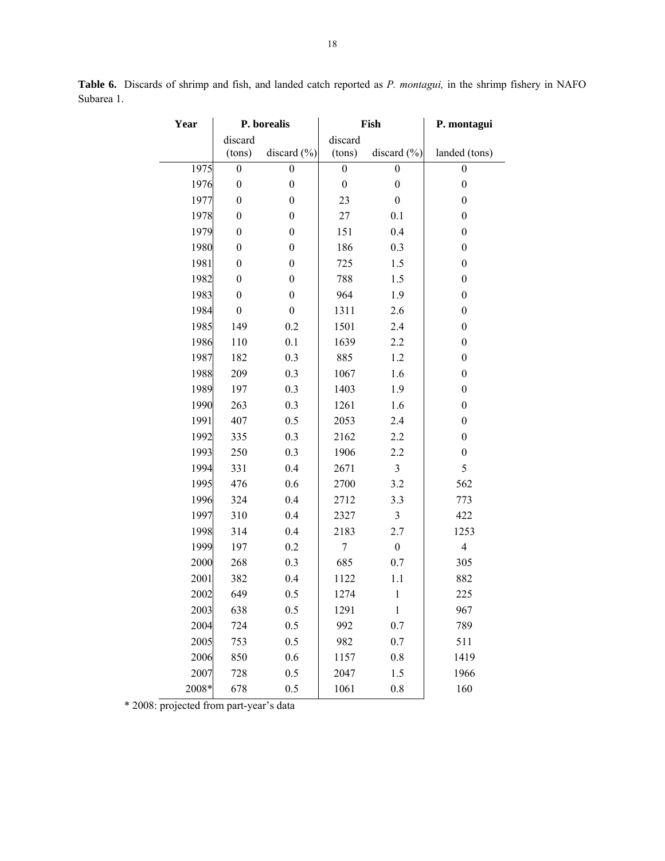| Year  |                  | P. borealis      |                  | Fish             | P. montagui             |
|-------|------------------|------------------|------------------|------------------|-------------------------|
|       | discard          |                  | discard          |                  |                         |
|       | (tons)           | discard $(\% )$  | (tons)           | discard $(\% )$  | landed (tons)           |
| 1975  | $\boldsymbol{0}$ | 0                | $\boldsymbol{0}$ | $\boldsymbol{0}$ | $\boldsymbol{0}$        |
| 1976  | $\boldsymbol{0}$ | $\boldsymbol{0}$ | $\boldsymbol{0}$ | $\boldsymbol{0}$ | $\boldsymbol{0}$        |
| 1977  | $\boldsymbol{0}$ | $\boldsymbol{0}$ | 23               | $\boldsymbol{0}$ | $\boldsymbol{0}$        |
| 1978  | $\boldsymbol{0}$ | 0                | 27               | 0.1              | $\boldsymbol{0}$        |
| 1979  | $\boldsymbol{0}$ | $\boldsymbol{0}$ | 151              | 0.4              | $\boldsymbol{0}$        |
| 1980  | $\boldsymbol{0}$ | $\boldsymbol{0}$ | 186              | 0.3              | $\boldsymbol{0}$        |
| 1981  | $\boldsymbol{0}$ | $\boldsymbol{0}$ | 725              | 1.5              | $\boldsymbol{0}$        |
| 1982  | $\boldsymbol{0}$ | 0                | 788              | 1.5              | $\boldsymbol{0}$        |
| 1983  | $\boldsymbol{0}$ | $\boldsymbol{0}$ | 964              | 1.9              | $\boldsymbol{0}$        |
| 1984  | $\boldsymbol{0}$ | $\boldsymbol{0}$ | 1311             | 2.6              | $\boldsymbol{0}$        |
| 1985  | 149              | 0.2              | 1501             | 2.4              | $\boldsymbol{0}$        |
| 1986  | 110              | 0.1              | 1639             | 2.2              | $\boldsymbol{0}$        |
| 1987  | 182              | 0.3              | 885              | 1.2              | $\boldsymbol{0}$        |
| 1988  | 209              | 0.3              | 1067             | 1.6              | $\boldsymbol{0}$        |
| 1989  | 197              | 0.3              | 1403             | 1.9              | $\boldsymbol{0}$        |
| 1990  | 263              | 0.3              | 1261             | 1.6              | $\boldsymbol{0}$        |
| 1991  | 407              | 0.5              | 2053             | 2.4              | $\boldsymbol{0}$        |
| 1992  | 335              | 0.3              | 2162             | 2.2              | $\boldsymbol{0}$        |
| 1993  | 250              | 0.3              | 1906             | 2.2              | $\boldsymbol{0}$        |
| 1994  | 331              | 0.4              | 2671             | 3                | 5                       |
| 1995  | 476              | 0.6              | 2700             | 3.2              | 562                     |
| 1996  | 324              | 0.4              | 2712             | 3.3              | 773                     |
| 1997  | 310              | 0.4              | 2327             | $\mathfrak{Z}$   | 422                     |
| 1998  | 314              | 0.4              | 2183             | 2.7              | 1253                    |
| 1999  | 197              | 0.2              | 7                | $\boldsymbol{0}$ | $\overline{\mathbf{4}}$ |
| 2000  | 268              | 0.3              | 685              | 0.7              | 305                     |
| 2001  | 382              | 0.4              | 1122             | 1.1              | 882                     |
| 2002  | 649              | 0.5              | 1274             | $\,1$            | 225                     |
| 2003  | 638              | 0.5              | 1291             | $\mathbf{1}$     | 967                     |
| 2004  | 724              | 0.5              | 992              | 0.7              | 789                     |
| 2005  | 753              | 0.5              | 982              | 0.7              | 511                     |
| 2006  | 850              | 0.6              | 1157             | 0.8              | 1419                    |
| 2007  | 728              | 0.5              | 2047             | 1.5              | 1966                    |
| 2008* | 678              | 0.5              | 1061             | 0.8              | 160                     |

**Table 6.** Discards of shrimp and fish, and landed catch reported as *P. montagui,* in the shrimp fishery in NAFO Subarea 1.

\* 2008: projected from part-year's data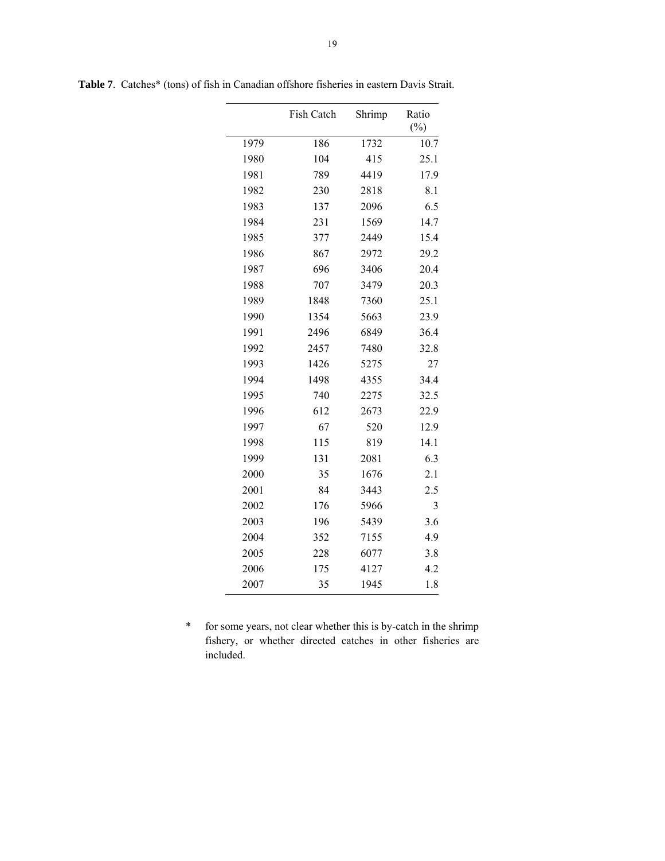|      | Fish Catch | Shrimp | Ratio<br>$(\%)$ |
|------|------------|--------|-----------------|
| 1979 | 186        | 1732   | 10.7            |
| 1980 | 104        | 415    | 25.1            |
| 1981 | 789        | 4419   | 17.9            |
| 1982 | 230        | 2818   | 8.1             |
| 1983 | 137        | 2096   | 6.5             |
| 1984 | 231        | 1569   | 14.7            |
| 1985 | 377        | 2449   | 15.4            |
| 1986 | 867        | 2972   | 29.2            |
| 1987 | 696        | 3406   | 20.4            |
| 1988 | 707        | 3479   | 20.3            |
| 1989 | 1848       | 7360   | 25.1            |
| 1990 | 1354       | 5663   | 23.9            |
| 1991 | 2496       | 6849   | 36.4            |
| 1992 | 2457       | 7480   | 32.8            |
| 1993 | 1426       | 5275   | 27              |
| 1994 | 1498       | 4355   | 34.4            |
| 1995 | 740        | 2275   | 32.5            |
| 1996 | 612        | 2673   | 22.9            |
| 1997 | 67         | 520    | 12.9            |
| 1998 | 115        | 819    | 14.1            |
| 1999 | 131        | 2081   | 6.3             |
| 2000 | 35         | 1676   | 2.1             |
| 2001 | 84         | 3443   | 2.5             |
| 2002 | 176        | 5966   | 3               |
| 2003 | 196        | 5439   | 3.6             |
| 2004 | 352        | 7155   | 4.9             |
| 2005 | 228        | 6077   | 3.8             |
| 2006 | 175        | 4127   | 4.2             |
| 2007 | 35         | 1945   | 1.8             |

**Table 7**. Catches\* (tons) of fish in Canadian offshore fisheries in eastern Davis Strait.

\* for some years, not clear whether this is by-catch in the shrimp fishery, or whether directed catches in other fisheries are included.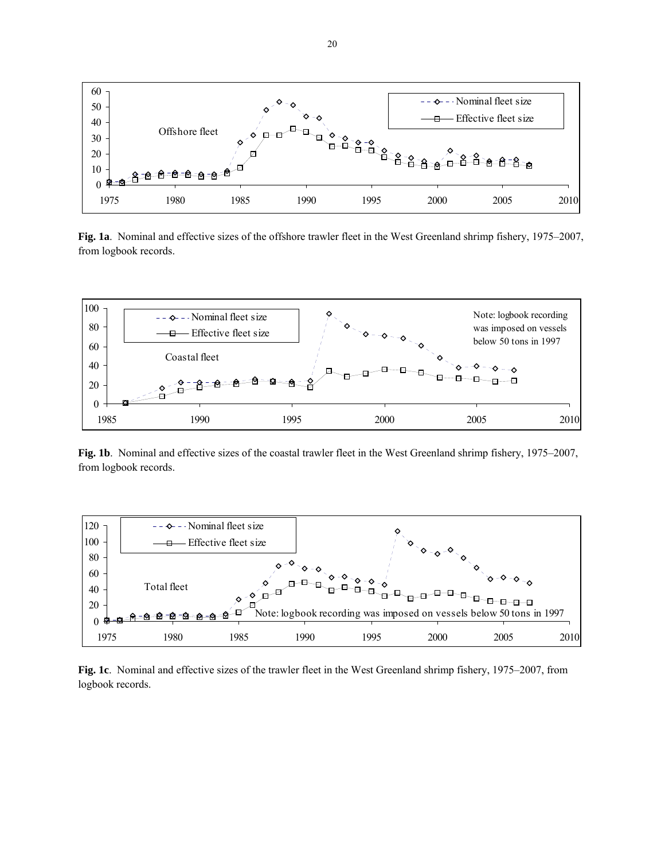

**Fig. 1a**. Nominal and effective sizes of the offshore trawler fleet in the West Greenland shrimp fishery, 1975–2007, from logbook records.



**Fig. 1b**. Nominal and effective sizes of the coastal trawler fleet in the West Greenland shrimp fishery, 1975–2007, from logbook records.



**Fig. 1c**. Nominal and effective sizes of the trawler fleet in the West Greenland shrimp fishery, 1975–2007, from logbook records.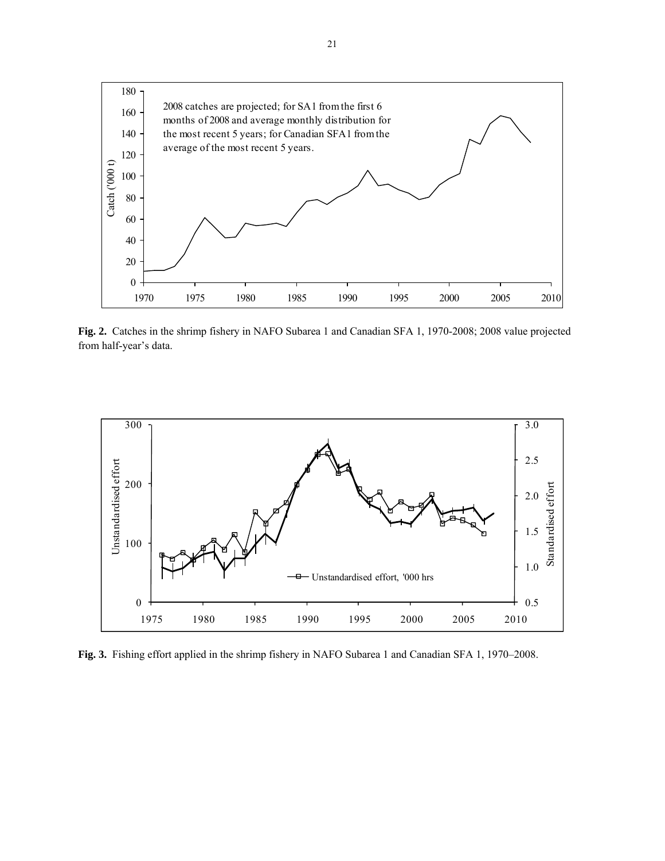

**Fig. 2.** Catches in the shrimp fishery in NAFO Subarea 1 and Canadian SFA 1, 1970-2008; 2008 value projected from half-year's data.



**Fig. 3.** Fishing effort applied in the shrimp fishery in NAFO Subarea 1 and Canadian SFA 1, 1970–2008.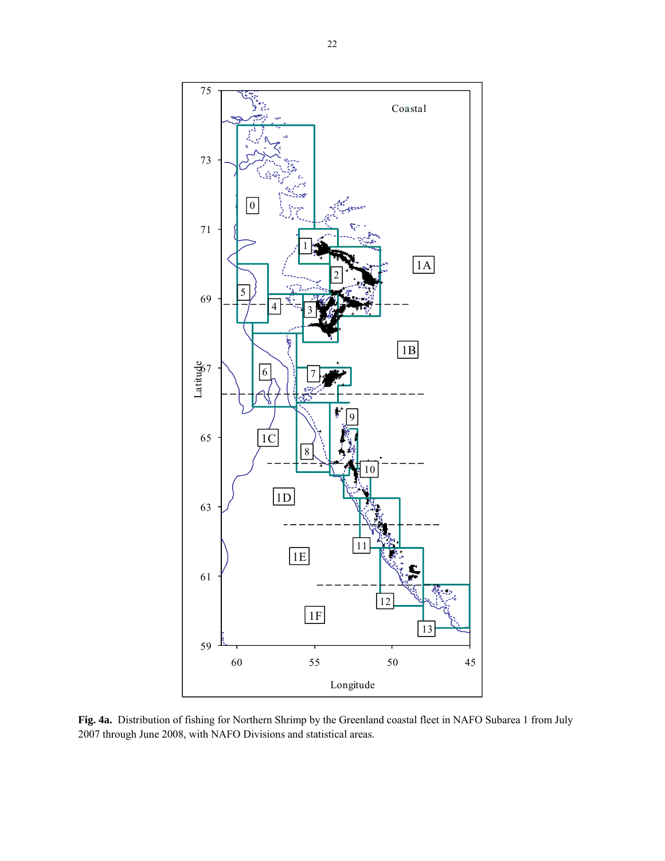

**Fig. 4a.** Distribution of fishing for Northern Shrimp by the Greenland coastal fleet in NAFO Subarea 1 from July 2007 through June 2008, with NAFO Divisions and statistical areas.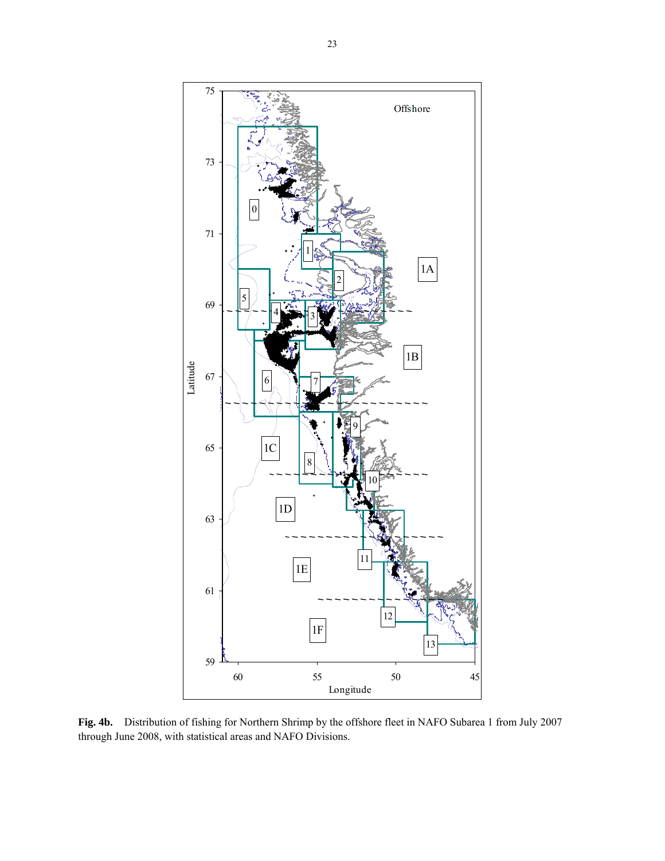

**Fig. 4b.** Distribution of fishing for Northern Shrimp by the offshore fleet in NAFO Subarea 1 from July 2007 through June 2008, with statistical areas and NAFO Divisions.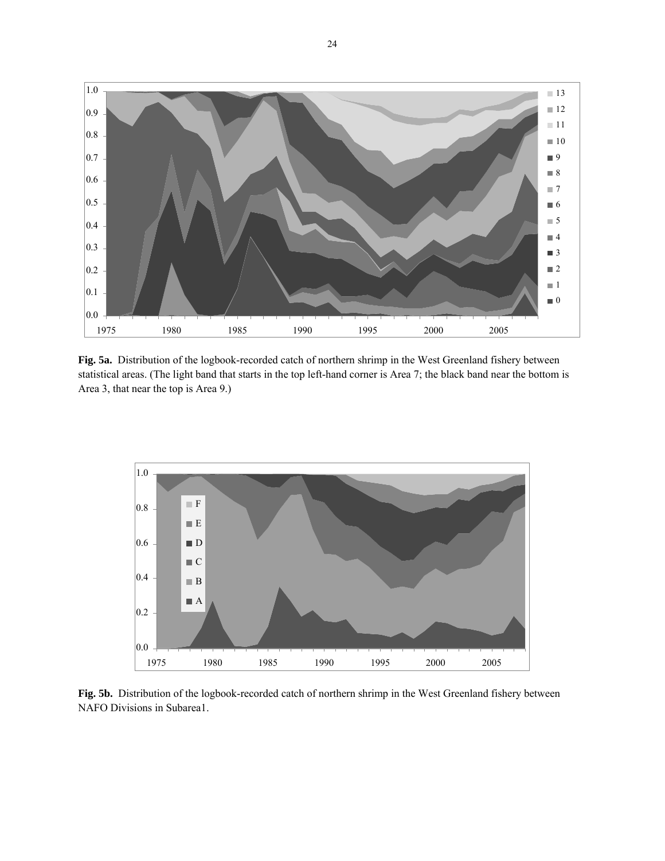

**Fig. 5a.** Distribution of the logbook-recorded catch of northern shrimp in the West Greenland fishery between statistical areas. (The light band that starts in the top left-hand corner is Area 7; the black band near the bottom is Area 3, that near the top is Area 9.)



**Fig. 5b.** Distribution of the logbook-recorded catch of northern shrimp in the West Greenland fishery between NAFO Divisions in Subarea1.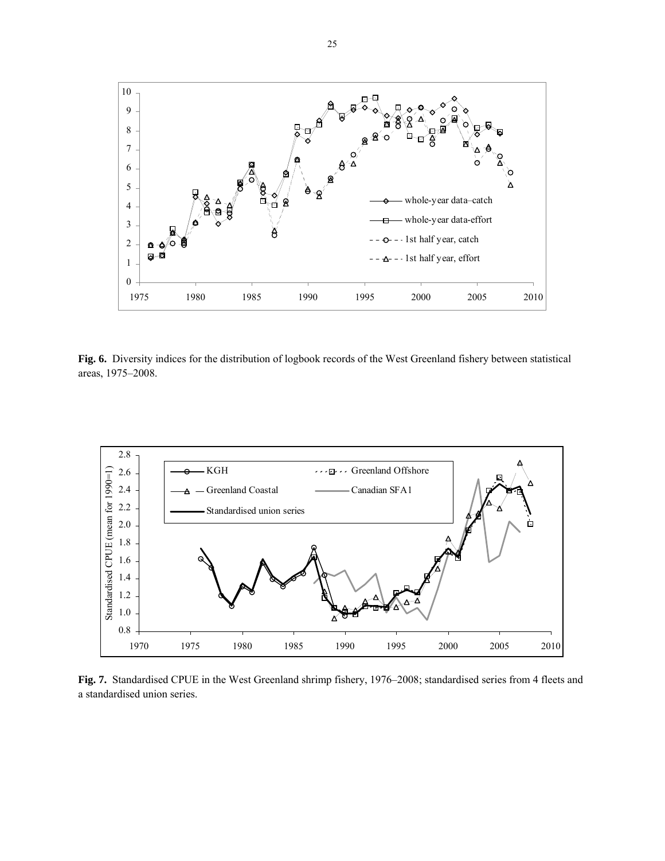

**Fig. 6.** Diversity indices for the distribution of logbook records of the West Greenland fishery between statistical areas, 1975–2008.



**Fig. 7.** Standardised CPUE in the West Greenland shrimp fishery, 1976–2008; standardised series from 4 fleets and a standardised union series.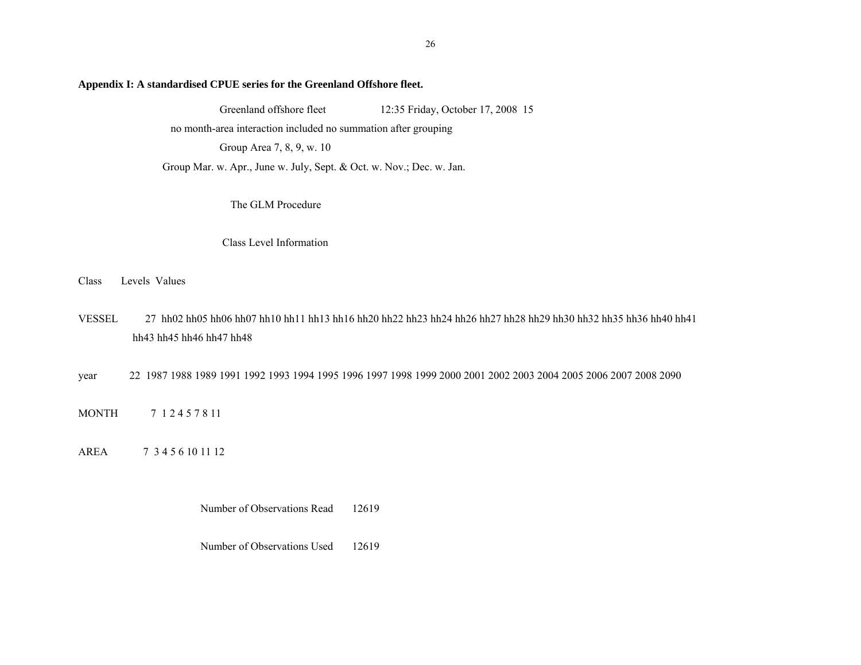#### **Appendix I: A standardised CPUE series for the Greenland Offshore fleet.**

Greenland offshore fleet 12:35 Friday, October 17, 2008 15

no month-area interaction included no summation after grouping

Group Area 7, 8, 9, w. 10

Group Mar. w. Apr., June w. July, Sept. & Oct. w. Nov.; Dec. w. Jan.

The GLM Procedure

Class Level Information

Class Levels Values

VESSEL 27 hh02 hh05 hh06 hh07 hh10 hh11 hh13 hh16 hh20 hh22 hh23 hh24 hh26 hh27 hh28 hh29 hh30 hh32 hh35 hh36 hh40 hh41 hh43 hh45 hh46 hh47 hh48

year 22 1987 1988 1989 1991 1992 1993 1994 1995 1996 1997 1998 1999 2000 2001 2002 2003 2004 2005 2006 2007 2008 2090

MONTH 7 1 2 4 5 7 8 11

AREA 7 3 4 5 6 10 11 12

Number of Observations Read 12619

Number of Observations Used 12619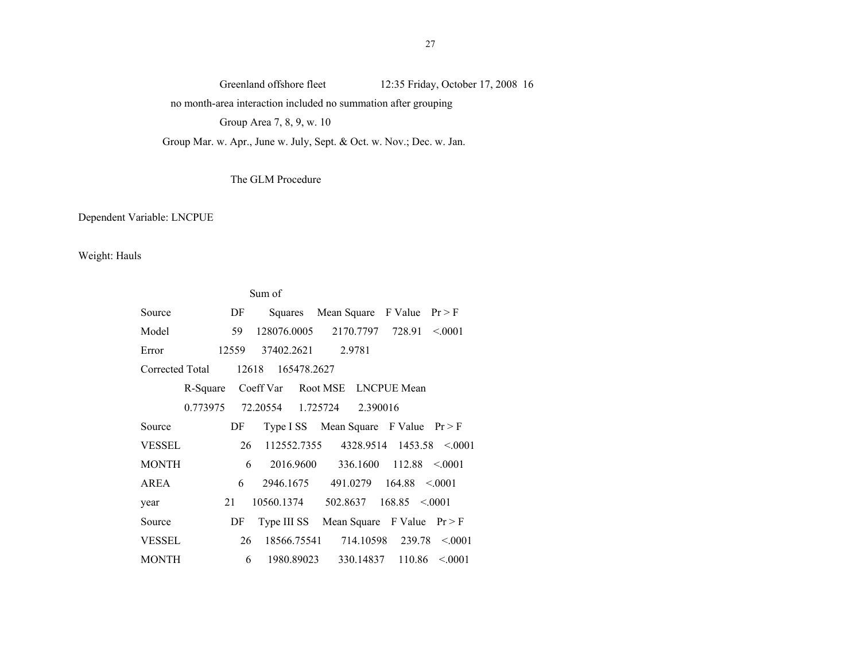no month-area interaction included no summation after grouping

Group Area 7, 8, 9, w. 10

Group Mar. w. Apr., June w. July, Sept. & Oct. w. Nov.; Dec. w. Jan.

#### The GLM Procedure

Dependent Variable: LNCPUE

Weight: Hauls

|                 |       | Sum of            |                                     |                                            |  |
|-----------------|-------|-------------------|-------------------------------------|--------------------------------------------|--|
| Source          | DF    | Squares           |                                     | Mean Square F Value $Pr > F$               |  |
| Model           | 59    | 128076.0005       | 2170.7797 728.91                    | < 0.001                                    |  |
| Error           | 12559 | 37402.2621 2.9781 |                                     |                                            |  |
| Corrected Total |       | 12618 165478.2627 |                                     |                                            |  |
| R-Square        |       |                   | Coeff Var Root MSE LNCPUE Mean      |                                            |  |
|                 |       |                   | 0.773975 72.20554 1.725724 2.390016 |                                            |  |
| Source          | DF    |                   |                                     | Type ISS Mean Square F Value $Pr > F$      |  |
| <b>VESSEL</b>   | 26    |                   |                                     | $112552.7355$ $4328.9514$ $1453.58$ < 0001 |  |
| <b>MONTH</b>    | 6     |                   |                                     | $2016.9600$ $336.1600$ $112.88$ < 0001     |  |
| AREA            | 6     |                   |                                     | $2946.1675$ $491.0279$ $164.88$ < 0001     |  |
| year            | 21    | 10560.1374        |                                     | $502.8637$ $168.85$ < 0001                 |  |
| Source          | DF    | Type III SS       |                                     | Mean Square F Value $Pr > F$               |  |
| <b>VESSEL</b>   | 26    | 18566.75541       | 714.10598                           | 239.78<br>< 0.001                          |  |
| MONTH           | 6     | 1980.89023        | 330.14837                           | 110.86<br>< 0.001                          |  |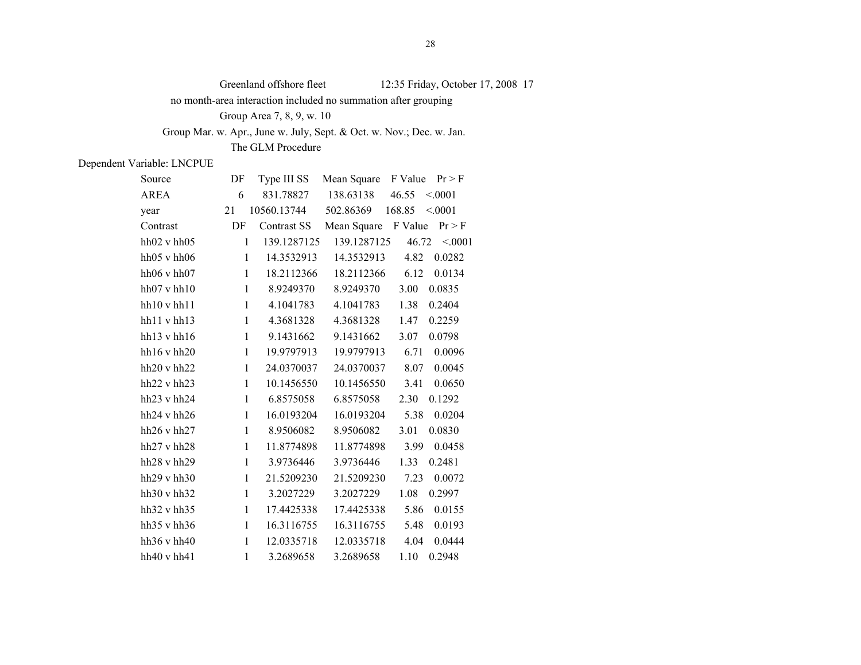no month-area interaction included no summation after grouping

Group Area 7, 8, 9, w. 10

Group Mar. w. Apr., June w. July, Sept. & Oct. w. Nov.; Dec. w. Jan.

The GLM Procedure

| Source                    | DF           | Type III SS |                     | Mean Square F Value $Pr > F$ |
|---------------------------|--------------|-------------|---------------------|------------------------------|
| <b>AREA</b>               | 6            | 831.78827   | 138.63138           | $46.55 \le 0.001$            |
| year                      | 21           | 10560.13744 | 502.86369           | < 0001<br>168.85             |
| Contrast                  | DF           | Contrast SS | Mean Square F Value | Pr > F                       |
| $hh02$ v $hh05$           | $\mathbf{1}$ | 139.1287125 | 139.1287125         | 46.72<br>< 0001              |
| $hh05$ v $hh06$           | $\mathbf{1}$ | 14.3532913  | 14.3532913          | 4.82<br>0.0282               |
| hh $06 \text{ v}$ hh $07$ | $\mathbf{1}$ | 18.2112366  | 18.2112366          | 6.12<br>0.0134               |
| $hh07$ v $hh10$           | $\mathbf{1}$ | 8.9249370   | 8.9249370           | 3.00<br>0.0835               |
| hh10vhh11                 | $\mathbf{1}$ | 4.1041783   | 4.1041783           | 1.38<br>0.2404               |
| hh11 v hh13               | $\mathbf{1}$ | 4.3681328   | 4.3681328           | 1.47<br>0.2259               |
| hh $13 \text{ v}$ hh $16$ | $\mathbf{1}$ | 9.1431662   | 9.1431662           | 3.07<br>0.0798               |
| $hh16$ v $hh20$           | $\mathbf{1}$ | 19.9797913  | 19.9797913          | 6.71<br>0.0096               |
| hh20v hh22                | $\mathbf{1}$ | 24.0370037  | 24.0370037          | 8.07<br>0.0045               |
| $hh22$ v $hh23$           | $\mathbf{1}$ | 10.1456550  | 10.1456550          | 3.41<br>0.0650               |
| hh $23 \text{ v}$ hh $24$ | $\mathbf{1}$ | 6.8575058   | 6.8575058           | 2.30<br>0.1292               |
| hh $24 \text{ v}$ hh $26$ | $\mathbf{1}$ | 16.0193204  | 16.0193204          | 0.0204<br>5.38               |
| hh $26 \text{ v}$ hh $27$ | $\mathbf{1}$ | 8.9506082   | 8.9506082           | 3.01<br>0.0830               |
| $hh27$ v $hh28$           | $\mathbf{1}$ | 11.8774898  | 11.8774898          | 3.99<br>0.0458               |
| $hh28$ v $hh29$           | $\mathbf{1}$ | 3.9736446   | 3.9736446           | 1.33<br>0.2481               |
| hh $29$ v hh $30$         | $\mathbf{1}$ | 21.5209230  | 21.5209230          | 7.23<br>0.0072               |
| hh $30 \text{ v}$ hh $32$ | $\mathbf{1}$ | 3.2027229   | 3.2027229           | 1.08<br>0.2997               |
| hh $32 \text{ v}$ hh $35$ | $\mathbf{1}$ | 17.4425338  | 17.4425338          | 5.86<br>0.0155               |
| hh $35 \text{ v}$ hh $36$ | $\mathbf{1}$ | 16.3116755  | 16.3116755          | 5.48<br>0.0193               |
| hh $36 \text{ v}$ hh $40$ | $\mathbf{1}$ | 12.0335718  | 12.0335718          | 0.0444<br>4.04               |
| hh40 v hh41               | $\mathbf{1}$ | 3.2689658   | 3.2689658           | 1.10<br>0.2948               |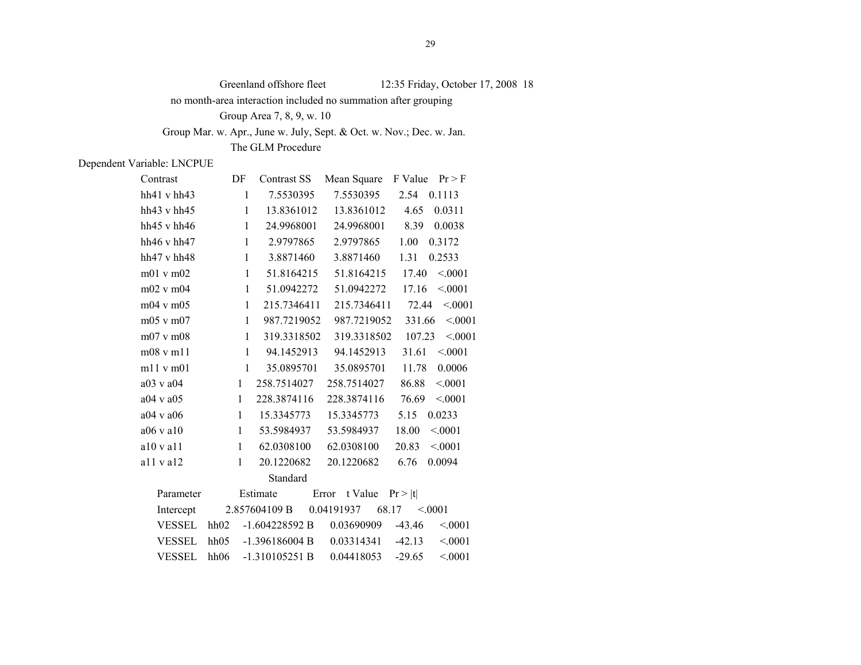no month-area interaction included no summation after grouping

Group Area 7, 8, 9, w. 10

Group Mar. w. Apr., June w. July, Sept. & Oct. w. Nov.; Dec. w. Jan.

The GLM Procedure

| Contrast                  | DF           | Contrast SS      |                     | Mean Square F Value $Pr > F$ |
|---------------------------|--------------|------------------|---------------------|------------------------------|
| hh $41 \text{ v}$ hh $43$ | $\mathbf{1}$ | 7.5530395        | 7.5530395           | 2.54 0.1113                  |
| hh $43 \text{ v}$ hh $45$ | $\mathbf{1}$ | 13.8361012       | 13.8361012          | 0.0311<br>4.65               |
| hh $45 \text{ v}$ hh $46$ | $\mathbf{1}$ | 24.9968001       | 24.9968001          | 8.39<br>0.0038               |
| hh $46 \text{ v}$ hh $47$ | $\mathbf{1}$ | 2.9797865        | 2.9797865           | 1.00<br>0.3172               |
| hh $47 \text{ v}$ hh $48$ | $\mathbf{1}$ | 3.8871460        | 3.8871460           | 1.31<br>0.2533               |
| $m01$ v $m02$             | $\mathbf{1}$ | 51.8164215       | 51.8164215          | < 0001<br>17.40              |
| $m02$ v $m04$             | $\mathbf{1}$ | 51.0942272       | 51.0942272          | < 0001<br>17.16              |
| $m04$ v m $05$            | $\mathbf{1}$ | 215.7346411      | 215.7346411         | < 0001<br>72.44              |
| $m05$ v $m07$             | $\mathbf{1}$ | 987.7219052      | 987.7219052         | < 0001<br>331.66             |
| $m07$ v $m08$             | $\mathbf{1}$ | 319.3318502      | 319.3318502         | < 0001<br>107.23             |
| $m08$ v m11               | $\mathbf{1}$ | 94.1452913       | 94.1452913          | 31.61<br>< 0001              |
| m11 v m01                 | $\mathbf{1}$ | 35.0895701       | 35.0895701          | 0.0006<br>11.78              |
| a03 v a04                 | $\mathbf{1}$ | 258.7514027      | 258.7514027         | 86.88<br>< 0001              |
| $a04$ v $a05$             | $\mathbf{1}$ | 228.3874116      | 228.3874116         | 76.69<br>< 0001              |
| $a04$ v a $06$            | $\mathbf{1}$ | 15.3345773       | 15.3345773          | 5.15<br>0.0233               |
| a06 v a10                 | $\mathbf{1}$ | 53.5984937       | 53.5984937          | 18.00<br>< 0001              |
| a10 v a11                 | $\mathbf{1}$ | 62.0308100       | 62.0308100          | < 0001<br>20.83              |
| $a11$ v $a12$             | $\mathbf{1}$ | 20.1220682       | 20.1220682          | 6.76<br>0.0094               |
|                           |              | Standard         |                     |                              |
| Parameter                 |              | Estimate         | Error t Value       | Pr >  t                      |
| Intercept                 |              | 2.857604109 B    | 0.04191937<br>68.17 | < 0.001                      |
| <b>VESSEL</b>             | hh02         | $-1.604228592 B$ | 0.03690909          | < 0001<br>$-43.46$           |
| <b>VESSEL</b>             | hh05         | $-1.396186004 B$ | 0.03314341          | < 0001<br>$-42.13$           |
| <b>VESSEL</b>             | hh06         | $-1.310105251B$  | 0.04418053          | < 0001<br>$-29.65$           |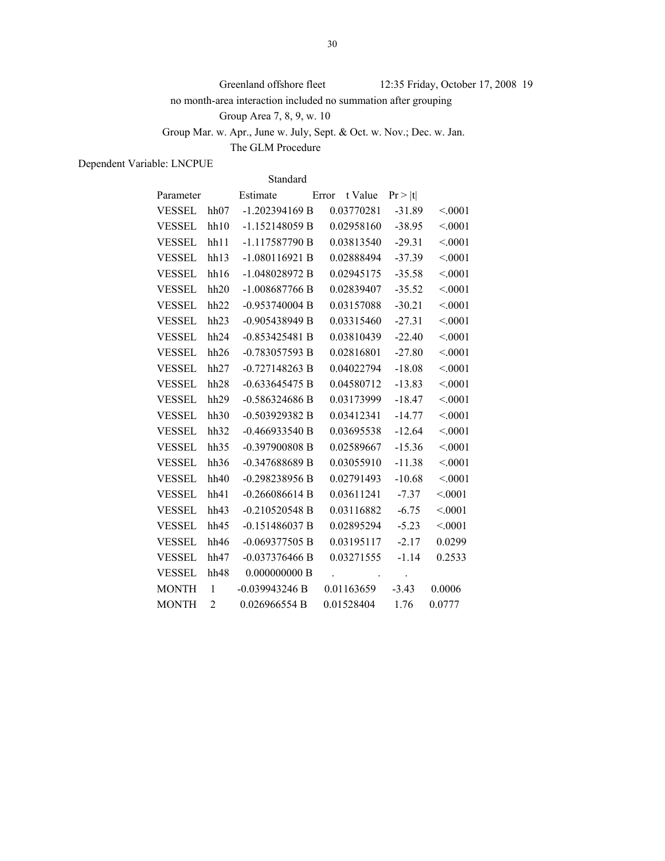no month-area interaction included no summation after grouping

Group Area 7, 8, 9, w. 10

Group Mar. w. Apr., June w. July, Sept. & Oct. w. Nov.; Dec. w. Jan.

The GLM Procedure

Dependent Variable: LNCPUE

Standard

| Parameter     |              | Estimate         | Error |            | t Value          | Pr >  t       |        |
|---------------|--------------|------------------|-------|------------|------------------|---------------|--------|
| VESSEL hh07   |              | $-1.202394169 B$ |       | 0.03770281 |                  | $-31.89$      | < 0001 |
| <b>VESSEL</b> | hh10         | $-1.152148059 B$ |       | 0.02958160 |                  | $-38.95$      | < 0001 |
| VESSEL        | hh11         | $-1.117587790 B$ |       | 0.03813540 |                  | $-29.31$      | < 0001 |
| <b>VESSEL</b> | hh13         | $-1.080116921B$  |       | 0.02888494 |                  | $-37.39$      | < 0001 |
| VESSEL        | hh16         | $-1.048028972 B$ |       | 0.02945175 |                  | $-35.58$      | < 0001 |
| VESSEL        | hh20         | $-1.008687766 B$ |       | 0.02839407 |                  | $-35.52$      | < 0001 |
| <b>VESSEL</b> | hh22         | $-0.953740004 B$ |       | 0.03157088 |                  | $-30.21$      | < 0001 |
| <b>VESSEL</b> | hh23         | $-0.905438949 B$ |       | 0.03315460 |                  | $-27.31$      | < 0001 |
| <b>VESSEL</b> | hh24         | $-0.853425481B$  |       | 0.03810439 |                  | $-22.40$      | < 0001 |
| <b>VESSEL</b> | hh26         | $-0.783057593 B$ |       | 0.02816801 |                  | $-27.80$      | < 0001 |
| VESSEL        | hh27         | $-0.727148263 B$ |       | 0.04022794 |                  | $-18.08$      | < 0001 |
| <b>VESSEL</b> | hh28         | $-0.633645475 B$ |       | 0.04580712 |                  | $-13.83$      | < 0001 |
| <b>VESSEL</b> | hh29         | $-0.586324686 B$ |       | 0.03173999 |                  | $-18.47$      | < 0001 |
| <b>VESSEL</b> | hh30         | $-0.503929382 B$ |       | 0.03412341 |                  | $-14.77$      | < 0001 |
| VESSEL        | hh32         | $-0.466933540 B$ |       | 0.03695538 |                  | $-12.64$      | < 0001 |
| <b>VESSEL</b> | hh35         | $-0.397900808 B$ |       | 0.02589667 |                  | $-15.36$      | < 0001 |
| <b>VESSEL</b> | hh36         | $-0.347688689 B$ |       | 0.03055910 |                  | $-11.38$      | < 0001 |
| <b>VESSEL</b> | hh40         | $-0.298238956 B$ |       | 0.02791493 |                  | $-10.68$      | < 0001 |
| <b>VESSEL</b> | hh41         | $-0.266086614 B$ |       | 0.03611241 |                  | $-7.37$       | < 0001 |
| VESSEL        | hh43         | $-0.210520548 B$ |       | 0.03116882 |                  | $-6.75$       | < 0001 |
| <b>VESSEL</b> | hh45         | $-0.151486037 B$ |       | 0.02895294 |                  | $-5.23$       | < 0001 |
| <b>VESSEL</b> | hh46         | $-0.069377505 B$ |       | 0.03195117 |                  | $-2.17$       | 0.0299 |
| VESSEL        | hh47         | $-0.037376466 B$ |       | 0.03271555 |                  | $-1.14$       | 0.2533 |
| VESSEL        | hh48         | 0.000000000B     |       |            | $\blacksquare$ . | $\sim$ $\sim$ |        |
| <b>MONTH</b>  | $\mathbf{1}$ | $-0.039943246 B$ |       | 0.01163659 |                  | $-3.43$       | 0.0006 |
| <b>MONTH</b>  | 2            | 0.026966554 B    |       | 0.01528404 |                  | 1.76          | 0.0777 |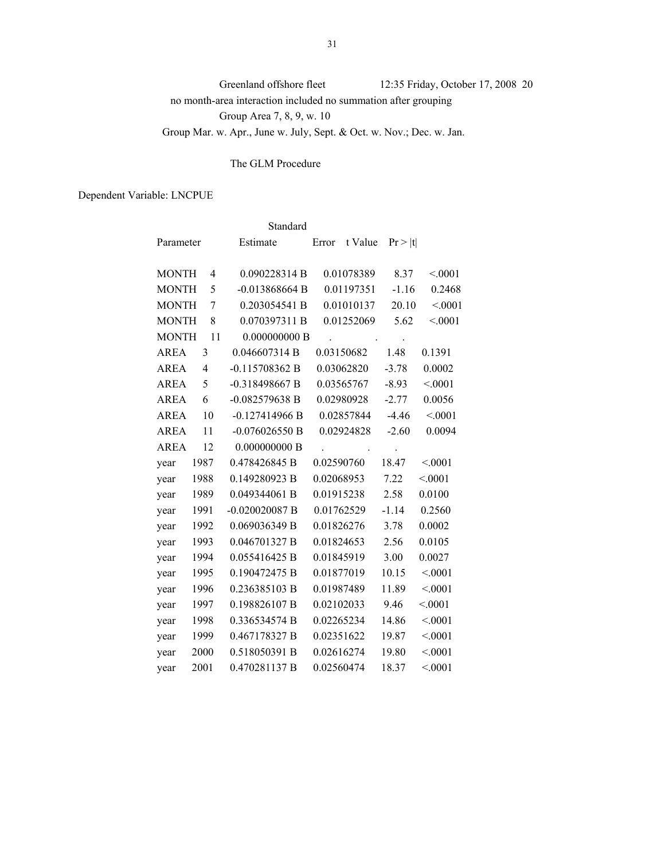Greenland offshore fleet 12:35 Friday, October 17, 2008 20 no month-area interaction included no summation after grouping Group Area 7, 8, 9, w. 10 Group Mar. w. Apr., June w. July, Sept. & Oct. w. Nov.; Dec. w. Jan.

## The GLM Procedure

|              |                          | Standard         |                  |         |         |
|--------------|--------------------------|------------------|------------------|---------|---------|
| Parameter    |                          | Estimate         | t Value<br>Error | Pr >  t |         |
| <b>MONTH</b> | $\overline{4}$           | 0.090228314 B    | 0.01078389       | 8.37    | < 0001  |
| <b>MONTH</b> | 5                        | $-0.013868664 B$ | 0.01197351       | $-1.16$ | 0.2468  |
| <b>MONTH</b> | 7                        | 0.203054541 B    | 0.01010137       | 20.10   | < 0001  |
| <b>MONTH</b> | 8                        | 0.070397311 B    | 0.01252069       | 5.62    | < 0001  |
| <b>MONTH</b> | 11                       | 0.000000000B     |                  |         |         |
| <b>AREA</b>  | 3                        | 0.046607314 B    | 0.03150682       | 1.48    | 0.1391  |
| <b>AREA</b>  | $\overline{\mathcal{A}}$ | $-0.115708362 B$ | 0.03062820       | $-3.78$ | 0.0002  |
| <b>AREA</b>  | 5                        | $-0.318498667 B$ | 0.03565767       | $-8.93$ | < 0001  |
| <b>AREA</b>  | 6                        | $-0.082579638$ B | 0.02980928       | $-2.77$ | 0.0056  |
| <b>AREA</b>  | 10                       | $-0.127414966B$  | 0.02857844       | $-4.46$ | < 0001  |
| <b>AREA</b>  | 11                       | $-0.076026550 B$ | 0.02924828       | $-2.60$ | 0.0094  |
| <b>AREA</b>  | 12                       | 0.000000000B     |                  |         |         |
| year         | 1987                     | 0.478426845 B    | 0.02590760       | 18.47   | < 0001  |
| year         | 1988                     | 0.149280923 B    | 0.02068953       | 7.22    | < 0001  |
| year         | 1989                     | 0.049344061 B    | 0.01915238       | 2.58    | 0.0100  |
| year         | 1991                     | $-0.020020087 B$ | 0.01762529       | $-1.14$ | 0.2560  |
| year         | 1992                     | 0.069036349 B    | 0.01826276       | 3.78    | 0.0002  |
| year         | 1993                     | 0.046701327 B    | 0.01824653       | 2.56    | 0.0105  |
| year         | 1994                     | 0.055416425 B    | 0.01845919       | 3.00    | 0.0027  |
| year         | 1995                     | 0.190472475 B    | 0.01877019       | 10.15   | < 0001  |
| year         | 1996                     | 0.236385103 B    | 0.01987489       | 11.89   | < 0001  |
| year         | 1997                     | 0.198826107B     | 0.02102033       | 9.46    | < 0001  |
| year         | 1998                     | 0.336534574 B    | 0.02265234       | 14.86   | < 0001  |
| year         | 1999                     | 0.467178327 B    | 0.02351622       | 19.87   | < 0001  |
| year         | 2000                     | 0.518050391 B    | 0.02616274       | 19.80   | < 0001  |
| year         | 2001                     | 0.470281137 B    | 0.02560474       | 18.37   | < 0.001 |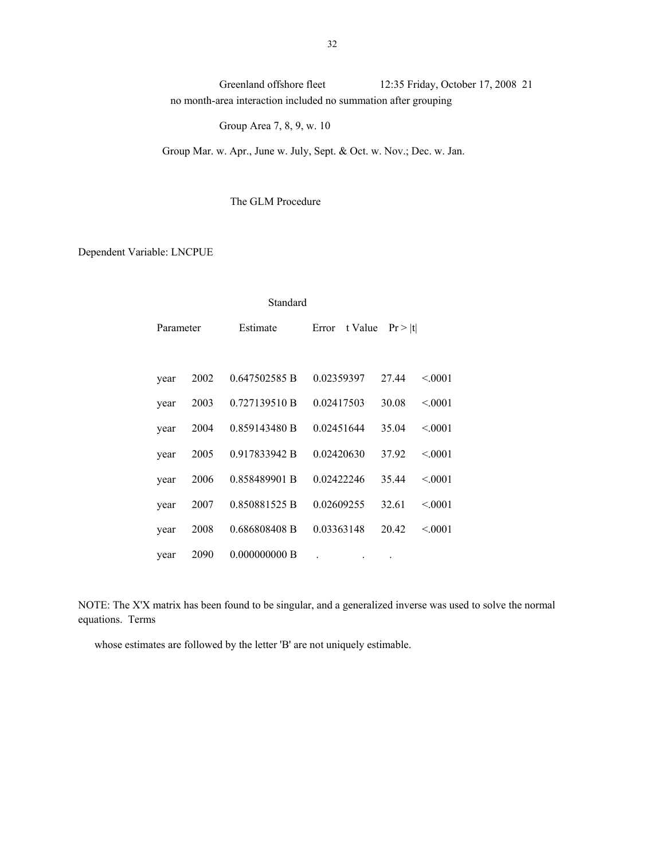Greenland offshore fleet 12:35 Friday, October 17, 2008 21 no month-area interaction included no summation after grouping

Group Area 7, 8, 9, w. 10

Group Mar. w. Apr., June w. July, Sept. & Oct. w. Nov.; Dec. w. Jan.

The GLM Procedure

Dependent Variable: LNCPUE

| Standard  |      |               |                  |         |         |  |  |  |  |
|-----------|------|---------------|------------------|---------|---------|--|--|--|--|
| Parameter |      | Estimate      | Error<br>t Value | Pr >  t |         |  |  |  |  |
|           |      |               |                  |         |         |  |  |  |  |
| year      | 2002 | 0.647502585 B | 0.02359397       | 27.44   | < 0.001 |  |  |  |  |
| year      | 2003 | 0.727139510 B | 0.02417503       | 30.08   | < 0.001 |  |  |  |  |
| year      | 2004 | 0.859143480 B | 0.02451644       | 35.04   | < 0.001 |  |  |  |  |
| year      | 2005 | 0.917833942 B | 0.02420630       | 37.92   | < 0.001 |  |  |  |  |
| year      | 2006 | 0.858489901 B | 0.02422246       | 35.44   | < 0.001 |  |  |  |  |
| year      | 2007 | 0.850881525 B | 0.02609255       | 32.61   | < 0.001 |  |  |  |  |
| year      | 2008 | 0.686808408 B | 0.03363148       | 20.42   | < 0.001 |  |  |  |  |
| year      | 2090 | 0.000000000B  |                  |         |         |  |  |  |  |

NOTE: The X'X matrix has been found to be singular, and a generalized inverse was used to solve the normal equations. Terms

whose estimates are followed by the letter 'B' are not uniquely estimable.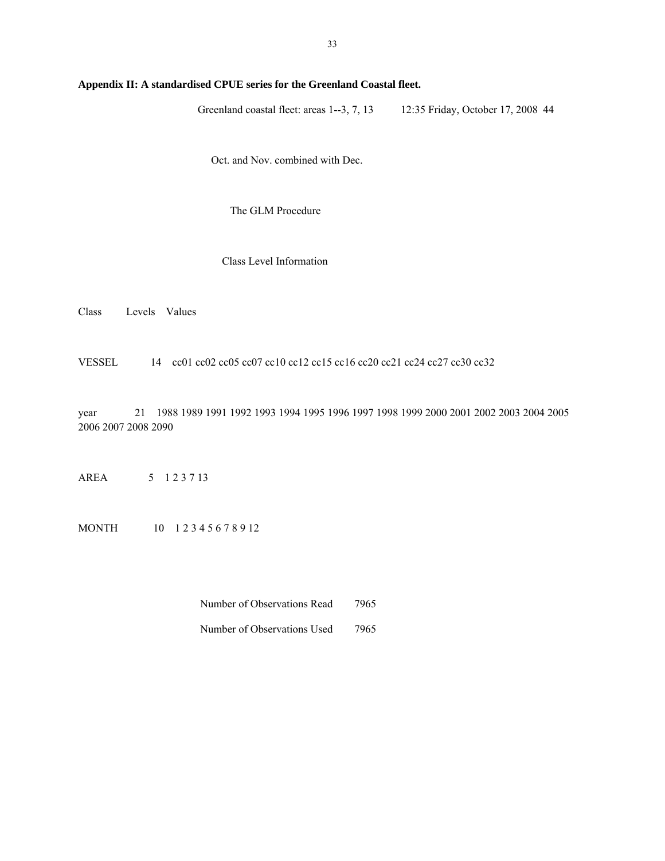## **Appendix II: A standardised CPUE series for the Greenland Coastal fleet.**

Greenland coastal fleet: areas 1--3, 7, 13 12:35 Friday, October 17, 2008 44

Oct. and Nov. combined with Dec.

The GLM Procedure

### Class Level Information

Class Levels Values

VESSEL 14 cc01 cc02 cc05 cc07 cc10 cc12 cc15 cc16 cc20 cc21 cc24 cc27 cc30 cc32

year 21 1988 1989 1991 1992 1993 1994 1995 1996 1997 1998 1999 2000 2001 2002 2003 2004 2005 2006 2007 2008 2090

AREA 5 1 2 3 7 13

MONTH 10 1 2 3 4 5 6 7 8 9 12

Number of Observations Read 7965

Number of Observations Used 7965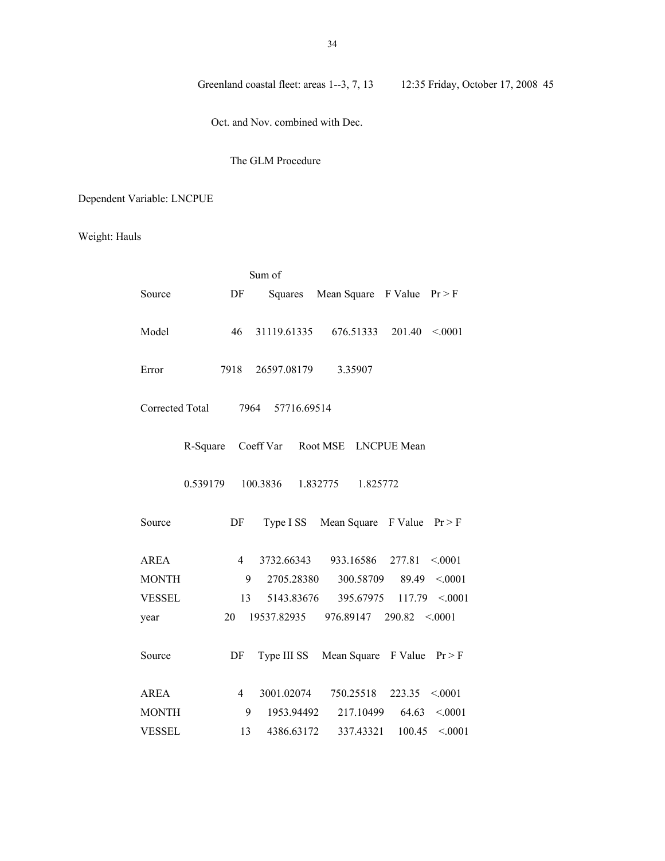Oct. and Nov. combined with Dec.

### The GLM Procedure

# Dependent Variable: LNCPUE

## Weight: Hauls

|                 |                | Sum of           |                      |                                      |
|-----------------|----------------|------------------|----------------------|--------------------------------------|
| Source          | DF             |                  |                      | Squares Mean Square F Value $Pr > F$ |
|                 |                |                  |                      |                                      |
| Model           | 46             | 31119.61335      | 676.51333            | $201.40 \le 0.001$                   |
|                 |                |                  |                      |                                      |
| Error           | 7918           | 26597.08179      | 3.35907              |                                      |
|                 |                |                  |                      |                                      |
| Corrected Total |                | 7964 57716.69514 |                      |                                      |
|                 |                |                  |                      |                                      |
| R-Square        |                | Coeff Var        | Root MSE LNCPUE Mean |                                      |
| 0.539179        |                | 100.3836         | 1.832775<br>1.825772 |                                      |
|                 |                |                  |                      |                                      |
| Source          | DF             | Type I SS        | Mean Square F Value  | Pr > F                               |
|                 |                |                  |                      |                                      |
| <b>AREA</b>     | $\overline{4}$ | 3732.66343       | 933.16586 277.81     | < 0001                               |
| <b>MONTH</b>    | 9              | 2705.28380       | 300.58709            | 89.49<br>< 0001                      |
| <b>VESSEL</b>   | 13             | 5143.83676       | 395.67975            | $117.79$ < 0001                      |
| year            | 20             | 19537.82935      |                      | $976.89147$ $290.82$ < 0001          |
|                 |                |                  |                      |                                      |
| Source          | DF             | Type III SS      |                      | Mean Square F Value $Pr > F$         |
|                 |                |                  |                      |                                      |
| <b>AREA</b>     | $\overline{4}$ | 3001.02074       | 750.25518            | 223.35<br>< 0001                     |
| <b>MONTH</b>    | 9              | 1953.94492       | 217.10499            | 64.63<br>< 0001                      |
| VESSEL          | 13             | 4386.63172       | 337.43321            | 100.45<br>< 0001                     |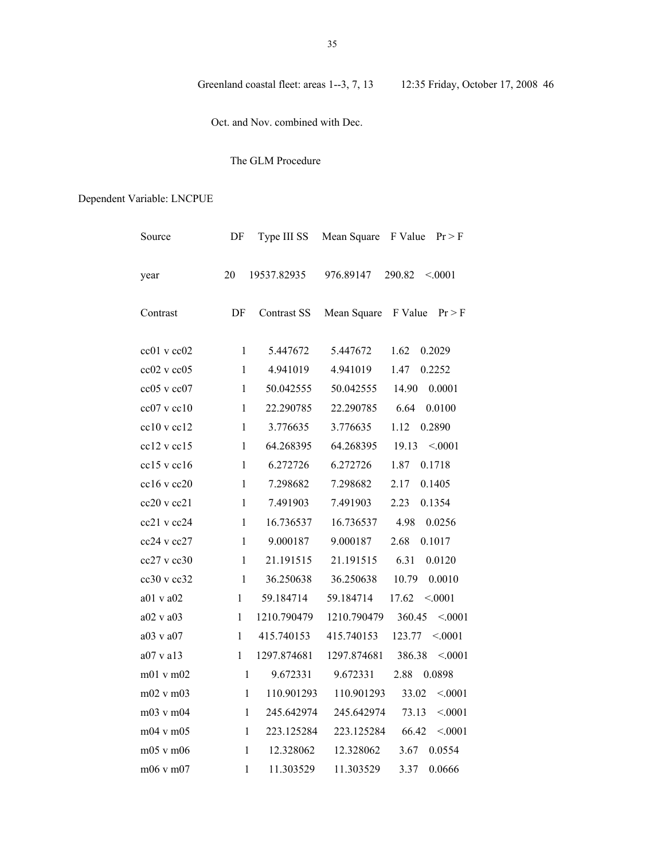Oct. and Nov. combined with Dec.

## The GLM Procedure

| Source          | DF           | Type III SS        | Mean Square | F Value<br>Pr > F |
|-----------------|--------------|--------------------|-------------|-------------------|
| year            | 20           | 19537.82935        | 976.89147   | 290.82<br>< 0001  |
| Contrast        | DF           | <b>Contrast SS</b> | Mean Square | F Value<br>Pr > F |
| cc01 v cc02     | $\mathbf{1}$ | 5.447672           | 5.447672    | 1.62<br>0.2029    |
| cc02 v cc05     | $\mathbf{1}$ | 4.941019           | 4.941019    | 1.47<br>0.2252    |
| cc05 v cc07     | $\mathbf{1}$ | 50.042555          | 50.042555   | 14.90<br>0.0001   |
| cc07 v cc10     | $\mathbf{1}$ | 22.290785          | 22.290785   | 6.64<br>0.0100    |
| cc10 v cc12     | $\mathbf{1}$ | 3.776635           | 3.776635    | 1.12<br>0.2890    |
| cc12 v cc15     | $\mathbf{1}$ | 64.268395          | 64.268395   | 19.13<br>< 0001   |
| $cc15$ v $cc16$ | $\mathbf{1}$ | 6.272726           | 6.272726    | 1.87<br>0.1718    |
| $cc16$ v $cc20$ | $\mathbf{1}$ | 7.298682           | 7.298682    | 2.17<br>0.1405    |
| cc20 v cc21     | $\mathbf{1}$ | 7.491903           | 7.491903    | 2.23<br>0.1354    |
| cc21 v cc24     | $\mathbf{1}$ | 16.736537          | 16.736537   | 4.98<br>0.0256    |
| cc24 v cc27     | $\mathbf{1}$ | 9.000187           | 9.000187    | 2.68<br>0.1017    |
| $cc27$ v $cc30$ | $\mathbf{1}$ | 21.191515          | 21.191515   | 6.31<br>0.0120    |
| cc30 v cc32     | $\mathbf{1}$ | 36.250638          | 36.250638   | 10.79<br>0.0010   |
| a01 v a02       | $\mathbf{1}$ | 59.184714          | 59.184714   | 17.62<br>< 0001   |
| a02 v a03       | $\mathbf{1}$ | 1210.790479        | 1210.790479 | 360.45<br>< 0001  |
| a03 v a07       | $\mathbf{1}$ | 415.740153         | 415.740153  | 123.77<br>< 0001  |
| a07 v a13       | $\mathbf{1}$ | 1297.874681        | 1297.874681 | 386.38<br>< 0001  |
| m01 v m02       | $\mathbf{1}$ | 9.672331           | 9.672331    | 2.88<br>0.0898    |
| m02 v m03       | $\mathbf{1}$ | 110.901293         | 110.901293  | < 0001<br>33.02   |
| m03 v m04       | $\mathbf{1}$ | 245.642974         | 245.642974  | 73.13<br>< 0001   |
| m04 v m05       | $\mathbf{1}$ | 223.125284         | 223.125284  | 66.42<br>< 0001   |
| m05 v m06       | $\mathbf{1}$ | 12.328062          | 12.328062   | 3.67<br>0.0554    |
| m06 v m07       | 1            | 11.303529          | 11.303529   | 3.37<br>0.0666    |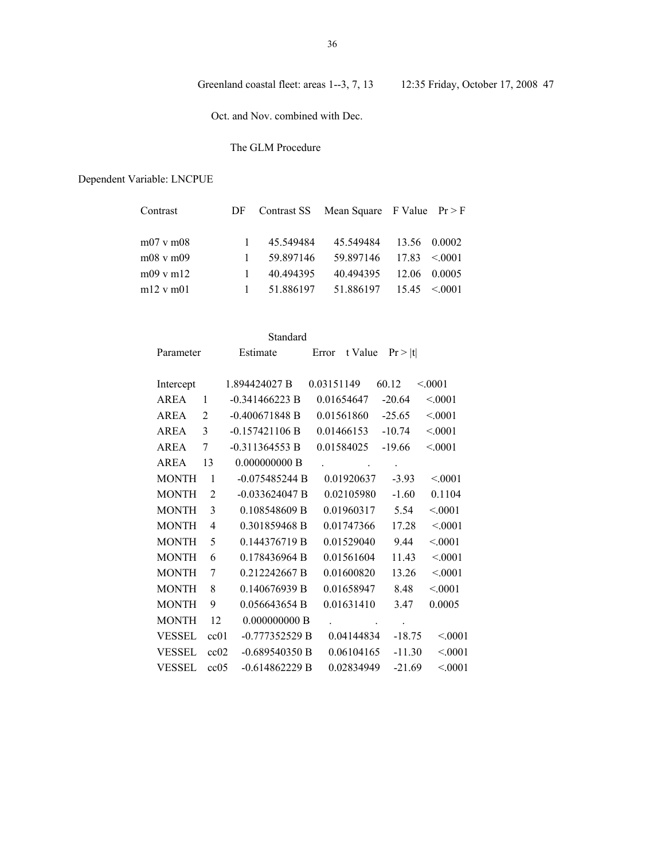Oct. and Nov. combined with Dec.

## The GLM Procedure

| Contrast             |   |            | DF Contrast SS Mean Square F Value $Pr > F$ |                   |  |
|----------------------|---|------------|---------------------------------------------|-------------------|--|
| $m07$ v $m08$        |   | 45.549484  | 45.549484                                   | 13.56 0.0002      |  |
| $m08$ v $m09$        | 1 | 59.897146  | $59.897146$ $17.83$ < 0001                  |                   |  |
| $m09$ v m $12$       |   | 40 49 4395 | 40.494395                                   | 12.06 0.0005      |  |
| $m12 \text{ v } m01$ | 1 | 51.886197  | 51.886197                                   | $15.45 \le 0.001$ |  |
|                      |   |            |                                             |                   |  |

|               |                | Standard         |                      |                    |         |
|---------------|----------------|------------------|----------------------|--------------------|---------|
| Parameter     |                | Estimate         | Error                | t Value $Pr >  t $ |         |
| Intercept     |                | 1.894424027 B    | 0.03151149           | 60.12              | < 0001  |
| AREA          | $\mathbf{1}$   | $-0.341466223 B$ | 0.01654647           | $-20.64$           | < 0001  |
| AREA          | 2              | $-0.400671848 B$ | 0.01561860           | $-25.65$           | < 0001  |
| <b>AREA</b>   | 3              | $-0.157421106 B$ | 0.01466153           | $-10.74$           | < 0001  |
| AREA          | 7              | $-0.311364553 B$ | 0.01584025           | $-19.66$           | < 0001  |
| <b>AREA</b>   | 13             | 0.000000000B     | $\ddot{\phantom{0}}$ | $\bullet$          |         |
| <b>MONTH</b>  | 1              | $-0.075485244 B$ | 0.01920637           | $-3.93$            | < 0.001 |
| <b>MONTH</b>  | $\overline{2}$ | $-0.033624047 B$ | 0.02105980           | $-1.60$            | 0.1104  |
| <b>MONTH</b>  | 3              | 0.108548609 B    | 0.01960317           | 5.54               | < 0001  |
| <b>MONTH</b>  | 4              | 0.301859468 B    | 0.01747366           | 17.28              | < 0001  |
| <b>MONTH</b>  | 5              | 0.144376719 B    | 0.01529040           | 9.44               | < 0001  |
| <b>MONTH</b>  | 6              | 0.178436964 B    | 0.01561604           | 11.43              | < 0001  |
| <b>MONTH</b>  | 7              | 0.212242667 B    | 0.01600820           | 13.26              | < 0001  |
| <b>MONTH</b>  | 8              | 0.140676939 B    | 0.01658947           | 8.48               | < 0001  |
| <b>MONTH</b>  | 9              | 0.056643654 B    | 0.01631410           | 3.47               | 0.0005  |
| <b>MONTH</b>  | 12             | 0.000000000B     |                      | $\cdot$            |         |
| VESSEL        | cc01           | $-0.777352529B$  | 0.04144834           | $-18.75$           | < 0001  |
| <b>VESSEL</b> | cc02           | $-0.689540350 B$ | 0.06104165           | $-11.30$           | < 0001  |
| VESSEL        | cc05           | $-0.614862229B$  | 0.02834949           | $-21.69$           | < 0001  |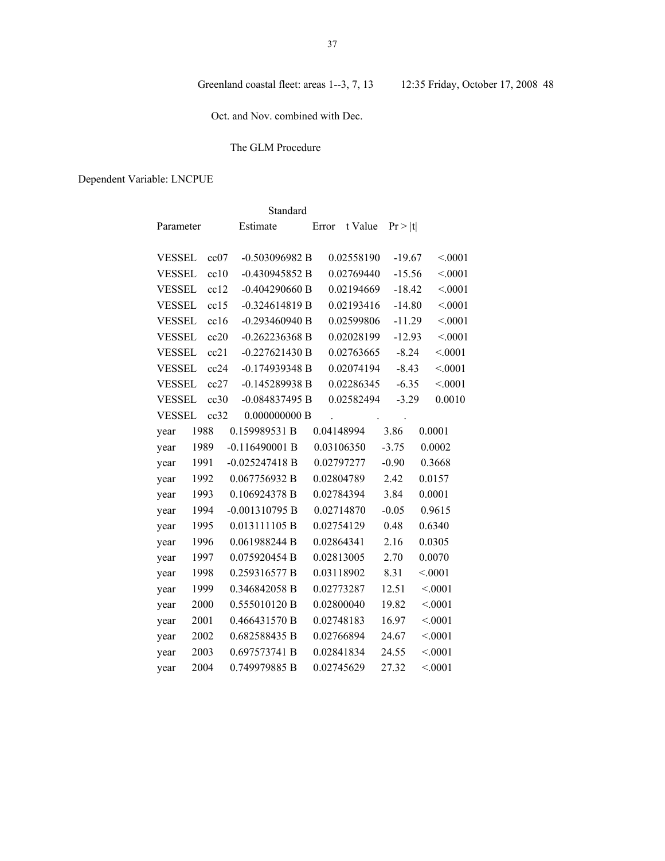Oct. and Nov. combined with Dec.

## The GLM Procedure

|               |      | Standard         |               |            |          |        |
|---------------|------|------------------|---------------|------------|----------|--------|
| Parameter     |      | Estimate         | Error t Value |            | Pr >  t  |        |
| <b>VESSEL</b> | cc07 | -0.503096982 B   |               | 0.02558190 | $-19.67$ | < 0001 |
| <b>VESSEL</b> | cc10 | $-0.430945852 B$ |               | 0.02769440 | $-15.56$ | < 0001 |
| <b>VESSEL</b> | cc12 | $-0.404290660$ B |               | 0.02194669 | $-18.42$ | < 0001 |
| <b>VESSEL</b> | cc15 | $-0.324614819 B$ |               | 0.02193416 | $-14.80$ | < 0001 |
| <b>VESSEL</b> | cc16 | $-0.293460940 B$ |               | 0.02599806 | $-11.29$ | < 0001 |
| <b>VESSEL</b> | cc20 | $-0.262236368 B$ |               | 0.02028199 | $-12.93$ | < 0001 |
| <b>VESSEL</b> | cc21 | $-0.227621430 B$ |               | 0.02763665 | $-8.24$  | < 0001 |
| <b>VESSEL</b> | cc24 | $-0.174939348 B$ |               | 0.02074194 | $-8.43$  | < 0001 |
| <b>VESSEL</b> | cc27 | $-0.145289938B$  |               | 0.02286345 | $-6.35$  | < 0001 |
| <b>VESSEL</b> | cc30 | $-0.084837495 B$ |               | 0.02582494 | $-3.29$  | 0.0010 |
| <b>VESSEL</b> | cc32 | 0.000000000B     |               |            | $\sim$   |        |
| year          | 1988 | 0.159989531 B    | 0.04148994    |            | 3.86     | 0.0001 |
| year          | 1989 | $-0.116490001 B$ | 0.03106350    |            | $-3.75$  | 0.0002 |
| year          | 1991 | $-0.025247418$ B | 0.02797277    |            | $-0.90$  | 0.3668 |
| year          | 1992 | 0.067756932 B    | 0.02804789    |            | 2.42     | 0.0157 |
| year          | 1993 | 0.106924378 B    | 0.02784394    |            | 3.84     | 0.0001 |
| year          | 1994 | $-0.001310795 B$ | 0.02714870    |            | $-0.05$  | 0.9615 |
| year          | 1995 | 0.013111105 B    | 0.02754129    |            | 0.48     | 0.6340 |
| year          | 1996 | 0.061988244 B    | 0.02864341    |            | 2.16     | 0.0305 |
| year          | 1997 | 0.075920454 B    | 0.02813005    |            | 2.70     | 0.0070 |
| year          | 1998 | 0.259316577 B    | 0.03118902    |            | 8.31     | < 0001 |
| year          | 1999 | 0.346842058 B    | 0.02773287    |            | 12.51    | < 0001 |
| year          | 2000 | 0.555010120 B    | 0.02800040    |            | 19.82    | < 0001 |
| year          | 2001 | 0.466431570 B    | 0.02748183    |            | 16.97    | < 0001 |
| year          | 2002 | 0.682588435 B    | 0.02766894    |            | 24.67    | < 0001 |
| year          | 2003 | 0.697573741 B    | 0.02841834    |            | 24.55    | < 0001 |
| year          | 2004 | 0.749979885 B    | 0.02745629    |            | 27.32    | < 0001 |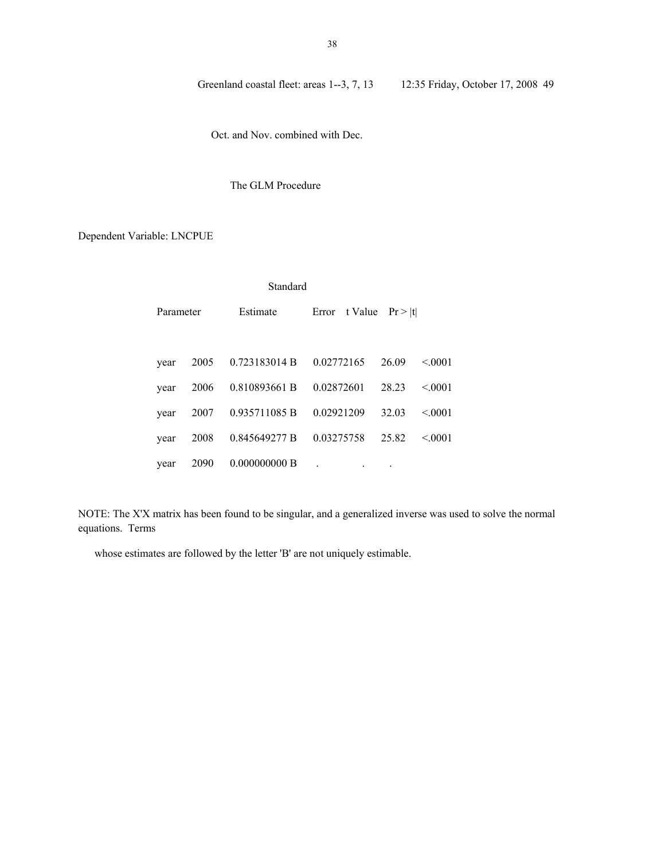Oct. and Nov. combined with Dec.

## The GLM Procedure

## Dependent Variable: LNCPUE

| Standard  |      |               |               |         |         |  |  |  |
|-----------|------|---------------|---------------|---------|---------|--|--|--|
| Parameter |      | Estimate      | Error t Value | Pr >  t |         |  |  |  |
|           |      |               |               |         |         |  |  |  |
| year      | 2005 | 0.723183014 B | 0.02772165    | 26.09   | < 0.001 |  |  |  |
| year      | 2006 | 0.810893661 B | 0.02872601    | 28.23   | < 0.001 |  |  |  |
| year      | 2007 | 0.935711085 B | 0.02921209    | 32.03   | < 0.001 |  |  |  |
| year      | 2008 | 0.845649277 B | 0.03275758    | 25.82   | < 0001  |  |  |  |
| year      | 2090 | 0.000000000B  |               |         |         |  |  |  |

NOTE: The X'X matrix has been found to be singular, and a generalized inverse was used to solve the normal equations. Terms

whose estimates are followed by the letter 'B' are not uniquely estimable.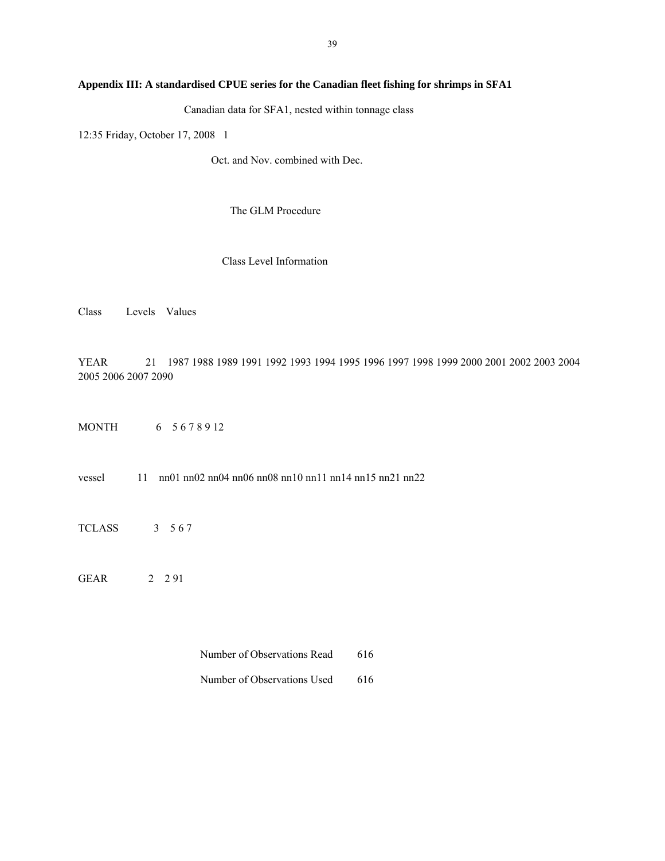## **Appendix III: A standardised CPUE series for the Canadian fleet fishing for shrimps in SFA1**

Canadian data for SFA1, nested within tonnage class

12:35 Friday, October 17, 2008 1

Oct. and Nov. combined with Dec.

The GLM Procedure

Class Level Information

Class Levels Values

YEAR 21 1987 1988 1989 1991 1992 1993 1994 1995 1996 1997 1998 1999 2000 2001 2002 2003 2004 2005 2006 2007 2090

MONTH 6 5 6 7 8 9 12

vessel 11 nn01 nn02 nn04 nn06 nn08 nn10 nn11 nn14 nn15 nn21 nn22

TCLASS 3 5 6 7

GEAR 2 2 91

Number of Observations Read 616

Number of Observations Used 616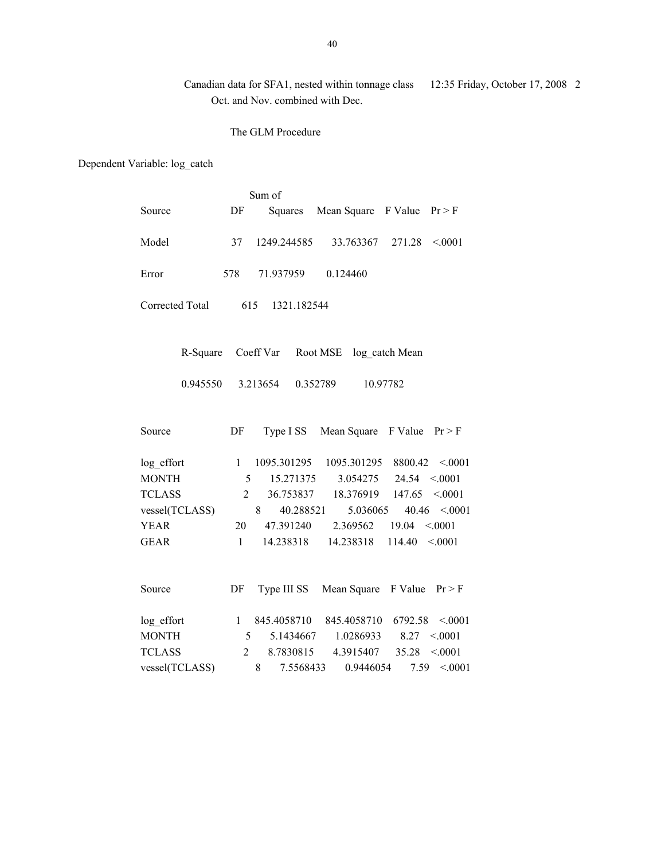Canadian data for SFA1, nested within tonnage class 12:35 Friday, October 17, 2008 2 Oct. and Nov. combined with Dec.

The GLM Procedure

Dependent Variable: log\_catch

|                 |                | Sum of             |                                   |                                   |
|-----------------|----------------|--------------------|-----------------------------------|-----------------------------------|
| Source          | DF             | Squares            | Mean Square F Value               | Pr > F                            |
| Model           | 37             | 1249.244585        | 33.763367                         | 271.28<br>< 0001                  |
| Error           | 578            | 71.937959          | 0.124460                          |                                   |
| Corrected Total |                | 615<br>1321.182544 |                                   |                                   |
| R-Square        |                |                    | Coeff Var Root MSE log catch Mean |                                   |
| 0.945550        |                | 3.213654           | 0.352789                          | 10.97782                          |
| Source          | DF             | Type I SS          | Mean Square F Value               | Pr > F                            |
| log_effort      | $\mathbf{1}$   | 1095.301295        | 1095.301295                       | $8800.42 \le 0.001$               |
| <b>MONTH</b>    | 5              | 15.271375          | 3.054275                          | $24.54 \le 0.001$                 |
| <b>TCLASS</b>   | $\overline{2}$ |                    |                                   | 36.753837 18.376919 147.65 <.0001 |
| vessel(TCLASS)  |                | 8<br>40.288521     | 5.036065                          | $40.46$ < 0001                    |
| <b>YEAR</b>     | 20             | 47.391240          | 2.369562                          | $19.04 \le 0001$                  |
| <b>GEAR</b>     | $\mathbf{1}$   | 14.238318          | 14.238318                         | 114.40<br>< 0001                  |
|                 |                |                    |                                   |                                   |
| Source          | DF             | Type III SS        | Mean Square F Value               | Pr > F                            |
| log_effort      | $\mathbf{1}$   | 845.4058710        | 845.4058710                       | 6792.58 < 0001                    |
| <b>MONTH</b>    | 5              |                    | 5.1434667 1.0286933               | 8.27<br>< 0001                    |
| <b>TCLASS</b>   | $\overline{2}$ | 8.7830815          | 4.3915407                         | 35.28<br>< 0001                   |
| vessel(TCLASS)  |                | 8<br>7.5568433     | 0.9446054                         | < 0001<br>7.59                    |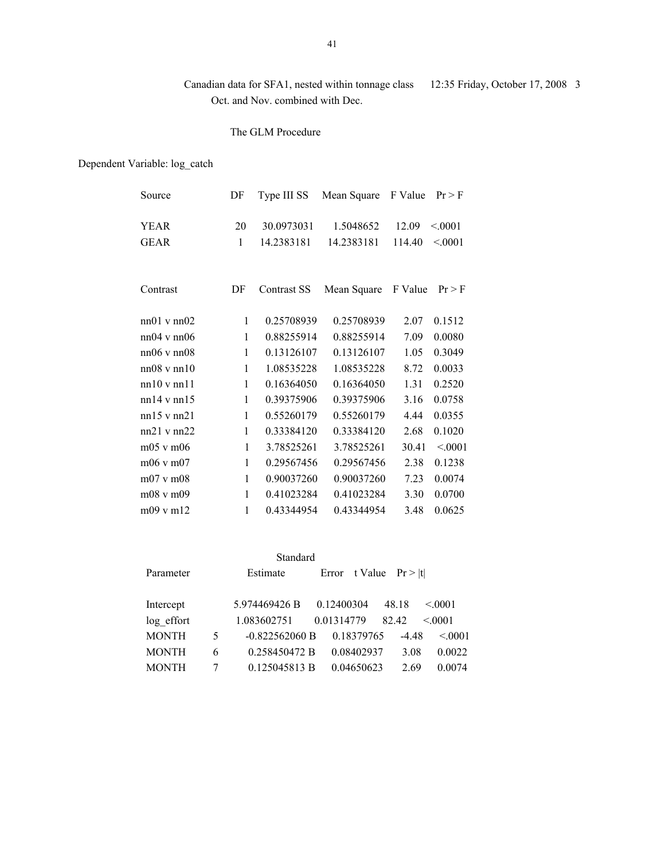# Canadian data for SFA1, nested within tonnage class 12:35 Friday, October 17, 2008 3 Oct. and Nov. combined with Dec.

## The GLM Procedure

# Dependent Variable: log\_catch

| Source                     | DF                 | Type III SS              | Mean Square             | F Value         | Pr > F            |
|----------------------------|--------------------|--------------------------|-------------------------|-----------------|-------------------|
| <b>YEAR</b><br><b>GEAR</b> | 20<br>$\mathbf{1}$ | 30.0973031<br>14.2383181 | 1.5048652<br>14.2383181 | 12.09<br>114.40 | < 0.001<br>< 0001 |
| Contrast                   | DF                 | Contrast SS              | Mean Square             | F Value         | Pr > F            |
| $nn01$ v $nn02$            | $\mathbf{1}$       | 0.25708939               | 0.25708939              | 2.07            | 0.1512            |
| $nn04$ v $nn06$            | 1                  | 0.88255914               | 0.88255914              | 7.09            | 0.0080            |
| $nn06$ v $nn08$            | 1                  | 0.13126107               | 0.13126107              | 1.05            | 0.3049            |
| $nn08$ v $nn10$            | $\mathbf{1}$       | 1.08535228               | 1.08535228              | 8.72            | 0.0033            |
| nn10vnn11                  | $\mathbf{1}$       | 0.16364050               | 0.16364050              | 1.31            | 0.2520            |
| $nn14$ v $nn15$            | $\mathbf{1}$       | 0.39375906               | 0.39375906              | 3.16            | 0.0758            |
| $nn15$ v $nn21$            | $\mathbf{1}$       | 0.55260179               | 0.55260179              | 4.44            | 0.0355            |
| $nn21$ v $nn22$            | 1                  | 0.33384120               | 0.33384120              | 2.68            | 0.1020            |
| $m05$ v $m06$              | $\mathbf{1}$       | 3.78525261               | 3.78525261              | 30.41           | < 0001            |
| m06 v m07                  | 1                  | 0.29567456               | 0.29567456              | 2.38            | 0.1238            |
| $m07$ v $m08$              | $\mathbf{1}$       | 0.90037260               | 0.90037260              | 7.23            | 0.0074            |
| m08 v m09                  | $\mathbf{1}$       | 0.41023284               | 0.41023284              | 3.30            | 0.0700            |
| m09 v m12                  | $\mathbf{1}$       | 0.43344954               | 0.43344954              | 3.48            | 0.0625            |
|                            |                    |                          |                         |                 |                   |

| Standard     |   |                  |            |                          |         |         |  |  |  |
|--------------|---|------------------|------------|--------------------------|---------|---------|--|--|--|
| Parameter    |   | Estimate         |            | Error t Value $Pr >  t $ |         |         |  |  |  |
|              |   |                  |            |                          |         |         |  |  |  |
| Intercept    |   | 5.974469426 B    | 0.12400304 |                          | 48.18   | < 0001  |  |  |  |
| log effort   |   | 1.083602751      | 0.01314779 |                          | 82.42   | < 0.001 |  |  |  |
| <b>MONTH</b> | 5 | $-0.822562060 B$ |            | 0.18379765               | $-4.48$ | < 0.001 |  |  |  |
| <b>MONTH</b> | 6 | 0.258450472 B    |            | 0.08402937               | 3.08    | 0.0022  |  |  |  |
| <b>MONTH</b> |   | 0.125045813 B    |            | 0.04650623               | 2.69    | 0.0074  |  |  |  |
|              |   |                  |            |                          |         |         |  |  |  |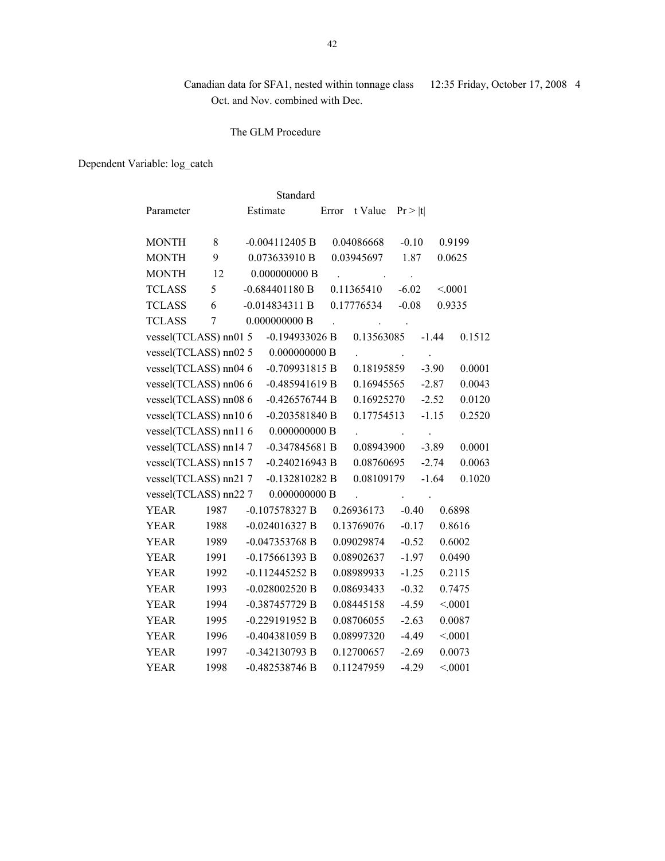# Canadian data for SFA1, nested within tonnage class 12:35 Friday, October 17, 2008 4 Oct. and Nov. combined with Dec.

### The GLM Procedure

Dependent Variable: log\_catch

| Standard |                       |      |          |                  |  |       |            |         |         |         |
|----------|-----------------------|------|----------|------------------|--|-------|------------|---------|---------|---------|
|          | Parameter             |      | Estimate |                  |  | Error | t Value    | Pr >  t |         |         |
|          | <b>MONTH</b>          | 8    |          | $-0.004112405$ B |  |       | 0.04086668 | $-0.10$ |         | 0.9199  |
|          | <b>MONTH</b>          | 9    |          | 0.073633910 B    |  |       | 0.03945697 | 1.87    | 0.0625  |         |
|          | <b>MONTH</b>          | 12   |          | 0.000000000B     |  |       |            |         |         |         |
|          | <b>TCLASS</b>         | 5    |          | $-0.684401180B$  |  |       | 0.11365410 | $-6.02$ | < 0001  |         |
|          | <b>TCLASS</b>         | 6    |          | $-0.014834311B$  |  |       | 0.17776534 | $-0.08$ | 0.9335  |         |
|          | <b>TCLASS</b>         | 7    |          | 0.000000000B     |  |       |            |         |         |         |
|          | vessel(TCLASS) nn01 5 |      |          | $-0.194933026 B$ |  |       | 0.13563085 |         | $-1.44$ | 0.1512  |
|          | vessel(TCLASS) nn02 5 |      |          | 0.000000000B     |  |       |            |         |         |         |
|          | vessel(TCLASS) nn04 6 |      |          | $-0.709931815 B$ |  |       | 0.18195859 |         | $-3.90$ | 0.0001  |
|          | vessel(TCLASS) nn06 6 |      |          | $-0.485941619 B$ |  |       | 0.16945565 |         | $-2.87$ | 0.0043  |
|          | vessel(TCLASS) nn08 6 |      |          | $-0.426576744 B$ |  |       | 0.16925270 |         | $-2.52$ | 0.0120  |
|          | vessel(TCLASS) nn10 6 |      |          | $-0.203581840 B$ |  |       | 0.17754513 |         | $-1.15$ | 0.2520  |
|          | vessel(TCLASS) nn11 6 |      |          | 0.000000000B     |  |       |            |         |         |         |
|          | vessel(TCLASS) nn147  |      |          | $-0.347845681B$  |  |       | 0.08943900 |         | $-3.89$ | 0.0001  |
|          | vessel(TCLASS) nn157  |      |          | $-0.240216943 B$ |  |       | 0.08760695 |         | $-2.74$ | 0.0063  |
|          | vessel(TCLASS) nn217  |      |          | $-0.132810282 B$ |  |       | 0.08109179 |         | $-1.64$ | 0.1020  |
|          | vessel(TCLASS) nn22 7 |      |          | 0.000000000B     |  |       |            |         |         |         |
|          | <b>YEAR</b>           | 1987 |          | $-0.107578327 B$ |  |       | 0.26936173 | $-0.40$ |         | 0.6898  |
|          | <b>YEAR</b>           | 1988 |          | $-0.024016327 B$ |  |       | 0.13769076 | $-0.17$ |         | 0.8616  |
|          | <b>YEAR</b>           | 1989 |          | $-0.047353768$ B |  |       | 0.09029874 | $-0.52$ |         | 0.6002  |
|          | <b>YEAR</b>           | 1991 |          | $-0.175661393 B$ |  |       | 0.08902637 | $-1.97$ |         | 0.0490  |
|          | <b>YEAR</b>           | 1992 |          | $-0.112445252 B$ |  |       | 0.08989933 | $-1.25$ |         | 0.2115  |
|          | <b>YEAR</b>           | 1993 |          | $-0.028002520$ B |  |       | 0.08693433 | $-0.32$ |         | 0.7475  |
|          | <b>YEAR</b>           | 1994 |          | -0.387457729 B   |  |       | 0.08445158 | $-4.59$ |         | < 0001  |
|          | <b>YEAR</b>           | 1995 |          | -0.229191952 B   |  |       | 0.08706055 | $-2.63$ |         | 0.0087  |
|          | <b>YEAR</b>           | 1996 |          | $-0.404381059$ B |  |       | 0.08997320 | $-4.49$ |         | < 0001  |
|          | <b>YEAR</b>           | 1997 |          | -0.342130793 B   |  |       | 0.12700657 | $-2.69$ |         | 0.0073  |
|          | <b>YEAR</b>           | 1998 |          | $-0.482538746 B$ |  |       | 0.11247959 | $-4.29$ |         | < .0001 |